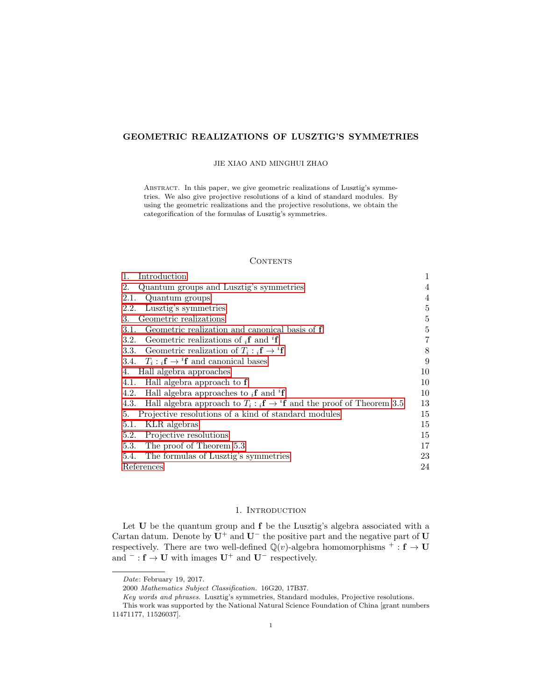# GEOMETRIC REALIZATIONS OF LUSZTIG'S SYMMETRIES

#### JIE XIAO AND MINGHUI ZHAO

ABSTRACT. In this paper, we give geometric realizations of Lusztig's symmetries. We also give projective resolutions of a kind of standard modules. By using the geometric realizations and the projective resolutions, we obtain the categorification of the formulas of Lusztig's symmetries.

## **CONTENTS**

| Introduction<br>1.                                                                                | 1  |
|---------------------------------------------------------------------------------------------------|----|
| Quantum groups and Lusztig's symmetries<br>2.                                                     | 4  |
| 2.1.<br>Quantum groups                                                                            | 4  |
| Lusztig's symmetries<br>2.2.                                                                      | 5  |
| Geometric realizations<br>3.                                                                      | 5  |
| Geometric realization and canonical basis of <b>f</b><br>3.1.                                     | 5  |
| Geometric realizations of $_i$ <b>f</b> and <sup>i</sup> <b>f</b><br>3.2.                         | 7  |
| 3.3. Geometric realization of $T_i : {}_i\mathbf{f} \to {}^i\mathbf{f}$                           | 8  |
| 3.4. $T_i: {}_{i}f \rightarrow {}^{i}f$ and canonical bases                                       | 9  |
| 4. Hall algebra approaches                                                                        | 10 |
| Hall algebra approach to f<br>4.1.                                                                | 10 |
| Hall algebra approaches to $_i f$ and $if$<br>4.2.                                                | 10 |
| Hall algebra approach to $T_i : {}_{i}f \rightarrow {}^{i}f$ and the proof of Theorem 3.5<br>4.3. | 13 |
| Projective resolutions of a kind of standard modules<br>5.                                        | 15 |
| KLR algebras<br>5.1.                                                                              | 15 |
| Projective resolutions<br>5.2.                                                                    | 15 |
| 5.3. The proof of Theorem 5.3                                                                     | 17 |
| The formulas of Lusztig's symmetries<br>5.4.                                                      | 23 |
| References                                                                                        | 24 |

## 1. INTRODUCTION

<span id="page-0-0"></span>Let U be the quantum group and  $f$  be the Lusztig's algebra associated with a Cartan datum. Denote by  $U^+$  and  $U^-$  the positive part and the negative part of U respectively. There are two well-defined  $\mathbb{Q}(v)$ -algebra homomorphisms  $^+$ :  $f \rightarrow U$ and  $^-$  :  $f \rightarrow U$  with images  $U^+$  and  $U^-$  respectively.

Date: February 19, 2017.

<sup>2000</sup> Mathematics Subject Classification. 16G20, 17B37.

Key words and phrases. Lusztig's symmetries, Standard modules, Projective resolutions.

This work was supported by the National Natural Science Foundation of China [grant numbers 11471177, 11526037].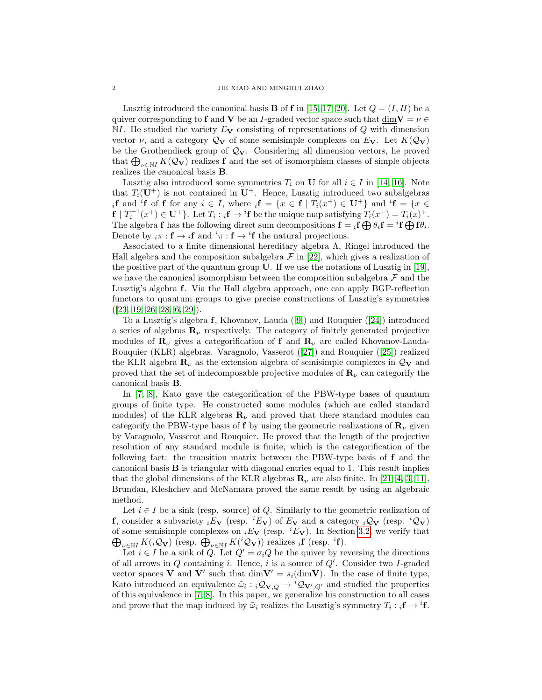Lusztig introduced the canonical basis **B** of **f** in [\[15,](#page-23-1) [17,](#page-23-2) [20\]](#page-23-3). Let  $Q = (I, H)$  be a quiver corresponding to f and V be an I-graded vector space such that  $\dim V = \nu \in$  $NI.$  He studied the variety  $E_V$  consisting of representations of Q with dimension vector  $\nu$ , and a category  $\mathcal{Q}_{\mathbf{V}}$  of some semisimple complexes on  $E_{\mathbf{V}}$ . Let  $K(\mathcal{Q}_{\mathbf{V}})$ be the Grothendieck group of  $\mathcal{Q}_V$ . Considering all dimension vectors, he proved that  $\bigoplus_{\nu \in \mathbb{N}I} K(\mathcal{Q}_{\mathbf{V}})$  realizes f and the set of isomorphism classes of simple objects realizes the canonical basis B.

Lusztig also introduced some symmetries  $T_i$  on **U** for all  $i \in I$  in [\[14,](#page-23-4) [16\]](#page-23-5). Note that  $T_i(\mathbf{U}^+)$  is not contained in  $\mathbf{U}^+$ . Hence, Lusztig introduced two subalgebras if and <sup>i</sup>f of f for any  $i \in I$ , where  ${}_{i}f = \{x \in f \mid T_{i}(x^{+}) \in U^{+}\}\$  and  ${}^{i}f = \{x \in I\}$  $f | T_i^{-1}(x^+) \in U^+$ . Let  $T_i : {}_i f \to {}^i f$  be the unique map satisfying  $T_i(x^+) = T_i(x)^+$ . The algebra **f** has the following direct sum decompositions  $\mathbf{f} = {}_i\mathbf{f} \bigoplus \theta_i \mathbf{f} = {}^i\mathbf{f} \bigoplus \mathbf{f} \theta_i$ . Denote by  $_i \pi : \mathbf{f} \to i\mathbf{f}$  and  $i\pi : \mathbf{f} \to i\mathbf{f}$  the natural projections.

Associated to a finite dimensional hereditary algebra Λ, Ringel introduced the Hall algebra and the composition subalgebra  $\mathcal F$  in [\[22\]](#page-23-6), which gives a realization of the positive part of the quantum group U. If we use the notations of Lusztig in [\[19\]](#page-23-7), we have the canonical isomorphism between the composition subalgebra  $\mathcal F$  and the Lusztig's algebra f. Via the Hall algebra approach, one can apply BGP-reflection functors to quantum groups to give precise constructions of Lusztig's symmetries  $([23, 19, 26, 28, 6, 29]).$  $([23, 19, 26, 28, 6, 29]).$  $([23, 19, 26, 28, 6, 29]).$  $([23, 19, 26, 28, 6, 29]).$  $([23, 19, 26, 28, 6, 29]).$  $([23, 19, 26, 28, 6, 29]).$  $([23, 19, 26, 28, 6, 29]).$  $([23, 19, 26, 28, 6, 29]).$ 

To a Lusztig's algebra f, Khovanov, Lauda ([\[9\]](#page-23-13)) and Rouquier ([\[24\]](#page-23-14)) introduced a series of algebras  $\mathbf{R}_{\nu}$  respectively. The category of finitely generated projective modules of  $\mathbf{R}_{\nu}$  gives a categorification of f and  $\mathbf{R}_{\nu}$  are called Khovanov-Lauda-Rouquier (KLR) algebras. Varagnolo, Vasserot ([\[27\]](#page-23-15)) and Rouquier ([\[25\]](#page-23-16)) realized the KLR algebra  $\mathbf{R}_{\nu}$  as the extension algebra of semisimple complexes in  $\mathcal{Q}_{\mathbf{V}}$  and proved that the set of indecomposable projective modules of  $\mathbf{R}_{\nu}$  can categorify the canonical basis B.

In [\[7,](#page-23-17) [8\]](#page-23-18), Kato gave the categorification of the PBW-type bases of quantum groups of finite type. He constructed some modules (which are called standard modules) of the KLR algebras  $\mathbf{R}_{\nu}$  and proved that there standard modules can categorify the PBW-type basis of f by using the geometric realizations of  $\mathbf{R}_{\nu}$  given by Varagnolo, Vasserot and Rouquier. He proved that the length of the projective resolution of any standard module is finite, which is the categorification of the following fact: the transition matrix between the PBW-type basis of f and the canonical basis B is triangular with diagonal entries equal to 1. This result implies that the global dimensions of the KLR algebras  $\mathbf{R}_{\nu}$  are also finite. In [\[21,](#page-23-19) [4,](#page-23-20) [3,](#page-23-21) [11\]](#page-23-22), Brundan, Kleshchev and McNamara proved the same result by using an algebraic method.

Let  $i \in I$  be a sink (resp. source) of Q. Similarly to the geometric realization of **f**, consider a subvariety  $iE_V$  (resp.  $iE_V$ ) of  $E_V$  and a category  $iQ_V$  (resp.  $iQ_V$ ) of some semisimple complexes on  $_iE_V$  (resp.  $^iE_V$ ). In Section [3.2,](#page-6-0) we verify that  $\bigoplus_{\nu \in \mathbb{N}I} K({}_i \mathcal{Q}_{\mathbf{V}})$  (resp.  $\bigoplus_{\nu \in \mathbb{N}I} K({}^i \mathcal{Q}_{\mathbf{V}})$ ) realizes  ${}_i\mathbf{f}$  (resp.  ${}^i\mathbf{f}$ ).

Let  $i \in I$  be a sink of Q. Let  $Q' = \sigma_i Q$  be the quiver by reversing the directions of all arrows in  $Q$  containing i. Hence, i is a source of  $Q'$ . Consider two I-graded vector spaces **V** and **V'** such that  $\dim V' = s_i(\dim V)$ . In the case of finite type, Kato introduced an equivalence  $\tilde{\omega}_i : {}_i \mathcal{Q}_{V,Q} \to {}^i \mathcal{Q}_{V',Q'}$  and studied the properties of this equivalence in [\[7,](#page-23-17) [8\]](#page-23-18). In this paper, we generalize his construction to all cases and prove that the map induced by  $\tilde{\omega}_i$  realizes the Lusztig's symmetry  $T_i : {}_i\mathbf{f} \to {}^i\mathbf{f}$ .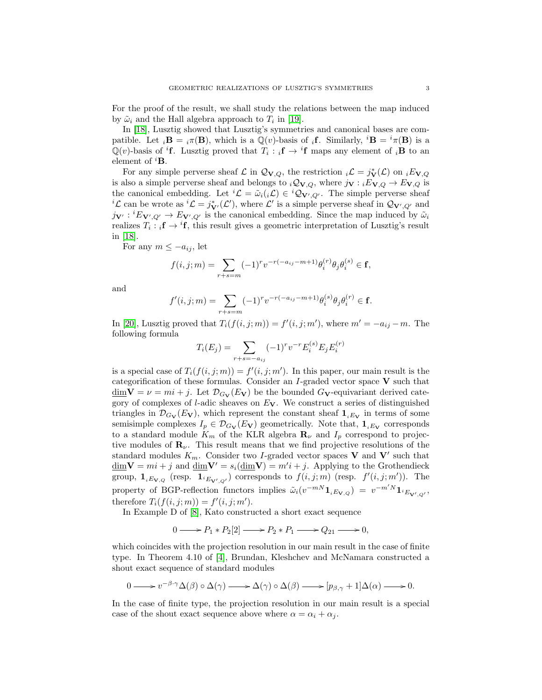For the proof of the result, we shall study the relations between the map induced by  $\tilde{\omega}_i$  and the Hall algebra approach to  $T_i$  in [\[19\]](#page-23-7).

In [\[18\]](#page-23-23), Lusztig showed that Lusztig's symmetries and canonical bases are compatible. Let  $_i\mathbf{B} = i\pi(\mathbf{B})$ , which is a  $\mathbb{Q}(v)$ -basis of  $_i\mathbf{f}$ . Similarly,  $^i\mathbf{B} = ^i\pi(\mathbf{B})$  is a  $\mathbb{Q}(v)$ -basis of <sup>i</sup>f. Lusztig proved that  $T_i : {}_i f \to {}^i f$  maps any element of <sub>i</sub>B to an element of  ${}^{i}$ **B**.

For any simple perverse sheaf  $\mathcal L$  in  $\mathcal Q_{V,Q}$ , the restriction  $_i\mathcal L = j^*_{V}(\mathcal L)$  on  $_iE_{V,Q}$ is also a simple perverse sheaf and belongs to  $_iQ_{V,Q}$ , where  $j_V : iE_{V,Q} \to E_{V,Q}$  is the canonical embedding. Let  ${}^{i}L = \tilde{\omega}_{i}(i\mathcal{L}) \in {}^{i}Q_{V',Q'}$ . The simple perverse sheaf  ${}^{i}\mathcal{L}$  can be wrote as  ${}^{i}\mathcal{L} = j_{\mathbf{V}'}^{*}(\mathcal{L}')$ , where  $\mathcal{L}'$  is a simple perverse sheaf in  $\mathcal{Q}_{\mathbf{V}',Q'}$  and  $j_{\mathbf{V}'} : {}^{i}E_{\mathbf{V}',Q'} \to E_{\mathbf{V}',Q'}$  is the canonical embedding. Since the map induced by  $\tilde{\omega}_i$ realizes  $T_i : {}_i\mathbf{f} \to {}^i\mathbf{f}$ , this result gives a geometric interpretation of Lusztig's result in [\[18\]](#page-23-23).

For any  $m \leq -a_{ij}$ , let

$$
f(i, j; m) = \sum_{r+s=m} (-1)^r v^{-r(-a_{ij} - m + 1)} \theta_i^{(r)} \theta_j \theta_i^{(s)} \in \mathbf{f},
$$

and

$$
f'(i, j; m) = \sum_{r+s=m} (-1)^r v^{-r(-a_{ij} - m+1)} \theta_i^{(s)} \theta_j \theta_i^{(r)} \in \mathbf{f}.
$$

In [\[20\]](#page-23-3), Lusztig proved that  $T_i(f(i, j; m)) = f'(i, j; m')$ , where  $m' = -a_{ij} - m$ . The following formula

$$
T_i(E_j) = \sum_{r+s=-a_{ij}} (-1)^r v^{-r} E_i^{(s)} E_j E_i^{(r)}
$$

is a special case of  $T_i(f(i, j; m)) = f'(i, j; m')$ . In this paper, our main result is the categorification of these formulas. Consider an  $I$ -graded vector space  $V$  such that  $\underline{\dim}V = \nu = mi + j$ . Let  $\mathcal{D}_{G_V}(E_V)$  be the bounded  $G_V$ -equivariant derived category of complexes of *l*-adic sheaves on  $E_V$ . We construct a series of distinguished triangles in  $\mathcal{D}_{G_V}(E_V)$ , which represent the constant sheaf  $\mathbf{1}_{iE_V}$  in terms of some semisimple complexes  $I_p \in \mathcal{D}_{G_V}(E_V)$  geometrically. Note that,  $\mathbf{1}_{iE_V}$  corresponds to a standard module  $K_m$  of the KLR algebra  $\mathbf{R}_{\nu}$  and  $I_p$  correspond to projective modules of  $\mathbf{R}_{\nu}$ . This result means that we find projective resolutions of the standard modules  $K_m$ . Consider two *I*-graded vector spaces **V** and **V**' such that  $\underline{\dim} \mathbf{V} = mi + j$  and  $\underline{\dim} \mathbf{V}' = s_i(\underline{\dim} \mathbf{V}) = m'i + j$ . Applying to the Grothendieck group,  $\mathbf{1}_{iE_{\mathbf{V},Q}}$  (resp.  $\mathbf{1}_{iE_{\mathbf{V}',Q'}}$ ) corresponds to  $f(i,j;m)$  (resp.  $f'(i,j;m')$ ). The property of BGP-reflection functors implies  $\tilde{\omega}_i(v^{-mN}\mathbf{1}_{iE_{\mathbf{V},Q}}) = v^{-m'N}\mathbf{1}_{iE_{\mathbf{V}',Q'}}$ therefore  $T_i(f(i,j;m)) = f'(i,j;m')$ .

In Example D of [\[8\]](#page-23-18), Kato constructed a short exact sequence

$$
0 \longrightarrow P_1 * P_2[2] \longrightarrow P_2 * P_1 \longrightarrow Q_{21} \longrightarrow 0,
$$

which coincides with the projection resolution in our main result in the case of finite type. In Theorem 4.10 of [\[4\]](#page-23-20), Brundan, Kleshchev and McNamara constructed a shout exact sequence of standard modules

$$
0 \longrightarrow v^{-\beta \cdot \gamma} \Delta(\beta) \circ \Delta(\gamma) \longrightarrow \Delta(\gamma) \circ \Delta(\beta) \longrightarrow [p_{\beta, \gamma} + 1] \Delta(\alpha) \longrightarrow 0.
$$

In the case of finite type, the projection resolution in our main result is a special case of the shout exact sequence above where  $\alpha = \alpha_i + \alpha_j$ .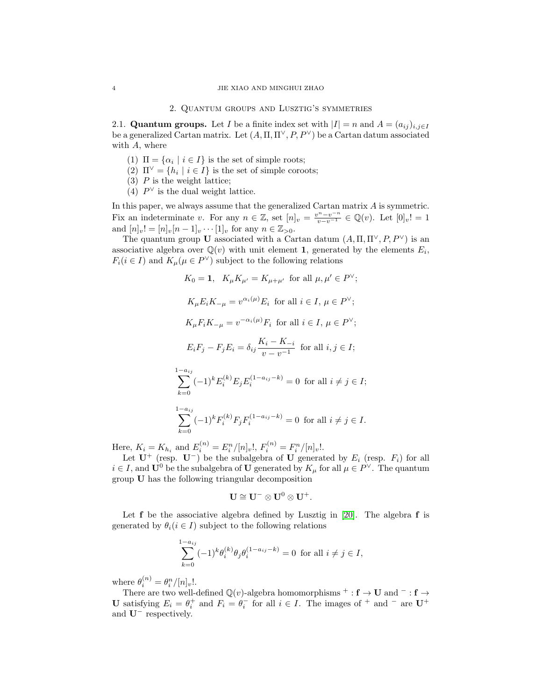#### 2. Quantum groups and Lusztig's symmetries

<span id="page-3-1"></span><span id="page-3-0"></span>2.1. Quantum groups. Let I be a finite index set with  $|I| = n$  and  $A = (a_{ij})_{i,j \in I}$ be a generalized Cartan matrix. Let  $(A, \Pi, \Pi^{\vee}, P, P^{\vee})$  be a Cartan datum associated with  $A$ , where

- (1)  $\Pi = {\alpha_i \mid i \in I}$  is the set of simple roots;
- (2)  $\Pi^{\vee} = \{h_i \mid i \in I\}$  is the set of simple coroots;
- $(3)$  P is the weight lattice;
- (4)  $P^{\vee}$  is the dual weight lattice.

In this paper, we always assume that the generalized Cartan matrix A is symmetric. Fix an indeterminate v. For any  $n \in \mathbb{Z}$ , set  $[n]_v = \frac{v^n - v^{-n}}{v - v^{-1}} \in \mathbb{Q}(v)$ . Let  $[0]_v! = 1$ and  $[n]_v! = [n]_v[n-1]_v \cdots [1]_v$  for any  $n \in \mathbb{Z}_{>0}$ .

The quantum group U associated with a Cartan datum  $(A, \Pi, \Pi^{\vee}, P, P^{\vee})$  is an associative algebra over  $\mathbb{Q}(v)$  with unit element 1, generated by the elements  $E_i$ ,  $F_i(i \in I)$  and  $K_\mu(\mu \in P^{\vee})$  subject to the following relations

$$
K_0 = 1, \quad K_{\mu} K_{\mu'} = K_{\mu + \mu'} \text{ for all } \mu, \mu' \in P^{\vee};
$$
\n
$$
K_{\mu} E_i K_{-\mu} = v^{\alpha_i(\mu)} E_i \text{ for all } i \in I, \mu \in P^{\vee};
$$
\n
$$
K_{\mu} F_i K_{-\mu} = v^{-\alpha_i(\mu)} F_i \text{ for all } i \in I, \mu \in P^{\vee};
$$
\n
$$
E_i F_j - F_j E_i = \delta_{ij} \frac{K_i - K_{-i}}{v - v^{-1}} \text{ for all } i, j \in I;
$$
\n
$$
\sum_{k=0}^{1 - a_{ij}} (-1)^k E_i^{(k)} E_j E_i^{(1 - a_{ij} - k)} = 0 \text{ for all } i \neq j \in I;
$$
\n
$$
\sum_{k=0}^{1 - a_{ij}} (-1)^k F_i^{(k)} F_j F_i^{(1 - a_{ij} - k)} = 0 \text{ for all } i \neq j \in I.
$$

Here,  $K_i = K_{h_i}$  and  $E_i^{(n)} = E_i^n/[n]_v!$ ,  $F_i^{(n)} = F_i^n/[n]_v!$ .

Let  $\mathbf{U}^+$  (resp.  $\mathbf{U}^-$ ) be the subalgebra of  $\mathbf{U}$  generated by  $E_i$  (resp.  $F_i$ ) for all  $i \in I$ , and  $U^0$  be the subalgebra of U generated by  $K_\mu$  for all  $\mu \in P^\vee$ . The quantum group U has the following triangular decomposition

$$
\mathbf{U}\cong \mathbf{U}^-\otimes \mathbf{U}^0\otimes \mathbf{U}^+.
$$

Let  $f$  be the associative algebra defined by Lusztig in [\[20\]](#page-23-3). The algebra  $f$  is generated by  $\theta_i$  ( $i \in I$ ) subject to the following relations

$$
\sum_{k=0}^{1-a_{ij}} (-1)^k \theta_i^{(k)} \theta_j \theta_i^{(1-a_{ij}-k)} = 0 \text{ for all } i \neq j \in I,
$$

where  $\theta_i^{(n)} = \theta_i^n/[n]_v!$ .

There are two well-defined  $\mathbb{Q}(v)$ -algebra homomorphisms  $^+$  :  $f \rightarrow U$  and  $^-$  :  $f \rightarrow$ U satisfying  $E_i = \theta_i^+$  and  $F_i = \theta_i^-$  for all  $i \in I$ . The images of  $^+$  and  $^-$  are U<sup>+</sup> and  $U^-$  respectively.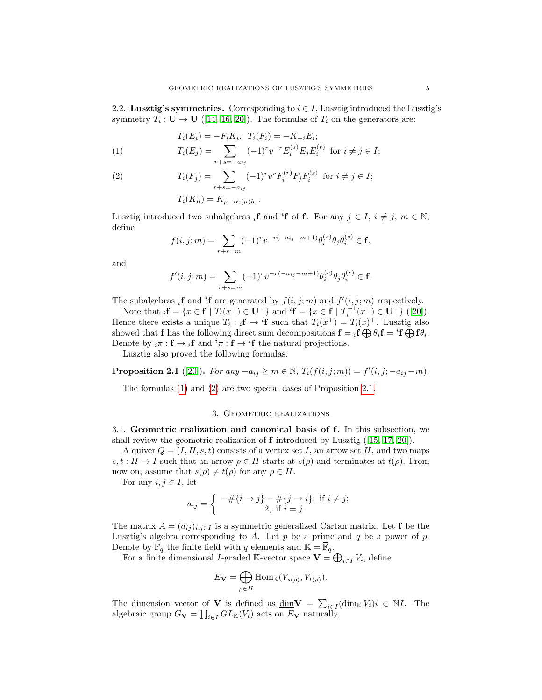<span id="page-4-0"></span>2.2. Lusztig's symmetries. Corresponding to  $i \in I$ , Lusztig introduced the Lusztig's symmetry  $T_i: U \to U$  ([\[14,](#page-23-4) [16,](#page-23-5) [20\]](#page-23-3)). The formulas of  $T_i$  on the generators are:

<span id="page-4-3"></span>
$$
T_i(E_i) = -F_i K_i, \ T_i(F_i) = -K_{-i} E_i;
$$
  

$$
T(E_i) = \sum_{i=1}^{n} (F_i) T_i F_i(F_i) F_i F_i(F_i)
$$

(1) 
$$
T_i(E_j) = \sum_{r+s=-a_{ij}} (-1)^r v^{-r} E_i^{(s)} E_j E_i^{(r)} \text{ for } i \neq j \in I;
$$

(2) 
$$
T_i(F_j) = \sum_{r+s=-a_{ij}} (-1)^r v^r F_i^{(r)} F_j F_i^{(s)} \text{ for } i \neq j \in I;
$$

$$
T_i(K_\mu) = K_{\mu - \alpha_i(\mu)h_i}.
$$

Lusztig introduced two subalgebras  $_i$ **f** and <sup>i</sup>**f** of **f**. For any  $j \in I$ ,  $i \neq j$ ,  $m \in \mathbb{N}$ , define

$$
f(i,j;m) = \sum_{r+s=m} (-1)^r v^{-r(-a_{ij}-m+1)} \theta_i^{(r)} \theta_j \theta_i^{(s)} \in \mathbf{f},
$$

and

$$
f'(i, j; m) = \sum_{r+s=m} (-1)^r v^{-r(-a_{ij} - m+1)} \theta_i^{(s)} \theta_j \theta_i^{(r)} \in \mathbf{f}.
$$

The subalgebras  $_i$ **f** and <sup>i</sup>**f** are generated by  $f(i, j; m)$  and  $f'(i, j; m)$  respectively.

Note that  ${}_{i}f = \{x \in f \mid T_{i}(x^{+}) \in U^{+}\}\$ and  ${}^{i}f = \{x \in f \mid T_{i}^{-1}(x^{+}) \in U^{+}\}\$  ([\[20\]](#page-23-3)). Hence there exists a unique  $T_i : {}_i\mathbf{f} \to {}^i\mathbf{f}$  such that  $T_i(x^+) = T_i(x)^+$ . Lusztig also showed that **f** has the following direct sum decompositions  $\mathbf{f} = {}_i\mathbf{f} \bigoplus \theta_i \mathbf{f} = {}^i\mathbf{f} \bigoplus \mathbf{f} \theta_i$ . Denote by  $_i \pi : \mathbf{f} \to i\mathbf{f}$  and  $^i \pi : \mathbf{f} \to {}^i \mathbf{f}$  the natural projections.

Lusztig also proved the following formulas.

<span id="page-4-4"></span>**Proposition 2.1** ([\[20\]](#page-23-3)). For any  $-a_{ij} \ge m \in \mathbb{N}$ ,  $T_i(f(i, j; m)) = f'(i, j; -a_{ij} - m)$ .

The formulas [\(1\)](#page-4-3) and [\(2\)](#page-4-3) are two special cases of Proposition [2.1.](#page-4-4)

## 3. Geometric realizations

<span id="page-4-2"></span><span id="page-4-1"></span>3.1. Geometric realization and canonical basis of f. In this subsection, we shall review the geometric realization of  $f$  introduced by Lusztig ([\[15,](#page-23-1) [17,](#page-23-2) [20\]](#page-23-3)).

A quiver  $Q = (I, H, s, t)$  consists of a vertex set I, an arrow set H, and two maps  $s, t : H \to I$  such that an arrow  $\rho \in H$  starts at  $s(\rho)$  and terminates at  $t(\rho)$ . From now on, assume that  $s(\rho) \neq t(\rho)$  for any  $\rho \in H$ .

For any  $i, j \in I$ , let

$$
a_{ij} = \begin{cases} -\# \{ i \to j \} - \# \{ j \to i \}, & \text{if } i \neq j; \\ 2, & \text{if } i = j. \end{cases}
$$

The matrix  $A = (a_{ij})_{i,j \in I}$  is a symmetric generalized Cartan matrix. Let f be the Lusztig's algebra corresponding to A. Let  $p$  be a prime and  $q$  be a power of  $p$ . Denote by  $\mathbb{F}_q$  the finite field with  $q$  elements and  $\mathbb{K} = \mathbb{F}_q.$ 

For a finite dimensional *I*-graded K-vector space  $\mathbf{V} = \bigoplus_{i \in I} V_i$ , define

$$
E_{\mathbf{V}} = \bigoplus_{\rho \in H} \mathrm{Hom}_{\mathbb{K}}(V_{s(\rho)}, V_{t(\rho)}).
$$

The dimension vector of **V** is defined as  $\underline{\dim} \mathbf{V} = \sum_{i \in I} (\dim_{\mathbb{K}} V_i) i \in \mathbb{N}I$ . The algebraic group  $G_{\mathbf{V}} = \prod_{i \in I} GL_{\mathbb{K}}(V_i)$  acts on  $E_{\mathbf{V}}$  naturally.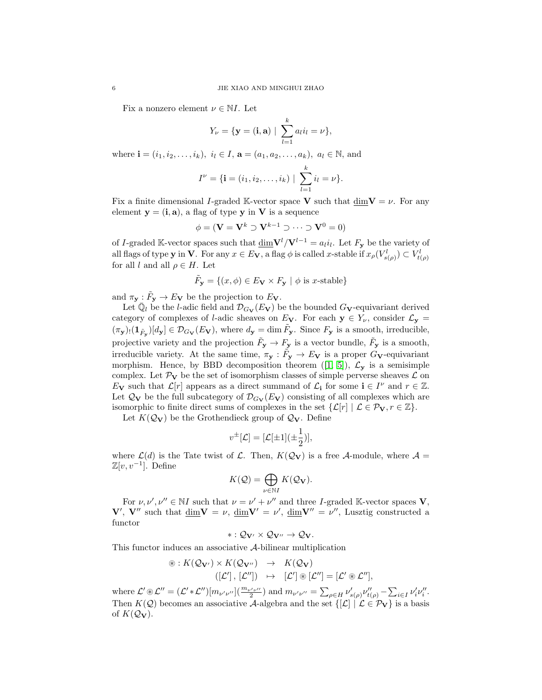Fix a nonzero element  $\nu \in NI$ . Let

$$
Y_{\nu} = {\mathbf{y} = (i, \mathbf{a}) \mid \sum_{l=1}^{k} a_l i_l = \nu},
$$

where  $\mathbf{i} = (i_1, i_2, \dots, i_k), i_l \in I$ ,  $\mathbf{a} = (a_1, a_2, \dots, a_k), a_l \in \mathbb{N}$ , and

$$
I^{\nu} = \{ \mathbf{i} = (i_1, i_2, \dots, i_k) \mid \sum_{l=1}^{k} i_l = \nu \}.
$$

Fix a finite dimensional I-graded K-vector space V such that  $\dim V = \nu$ . For any element  $y = (i, a)$ , a flag of type y in V is a sequence

$$
\phi = (\mathbf{V} = \mathbf{V}^k \supset \mathbf{V}^{k-1} \supset \cdots \supset \mathbf{V}^0 = 0)
$$

of I-graded K-vector spaces such that  $\underline{\dim} \mathbf{V}^l / \mathbf{V}^{l-1} = a_l i_l$ . Let  $F_\mathbf{y}$  be the variety of all flags of type **y** in **V**. For any  $x \in E_V$ , a flag  $\phi$  is called x-stable if  $x_\rho(V_{s(\rho)}^l) \subset V_{t(\rho)}^l$ for all l and all  $\rho \in H$ . Let

$$
\tilde{F}_\mathbf{y} = \{(x, \phi) \in E_\mathbf{V} \times F_\mathbf{y} \mid \phi \text{ is } x\text{-stable}\}
$$

and  $\pi_{\mathbf{y}} : \tilde{F}_{\mathbf{y}} \to E_{\mathbf{V}}$  be the projection to  $E_{\mathbf{V}}$ .

Let  $\bar{\mathbb{Q}}_l$  be the *l*-adic field and  $\mathcal{D}_{G_V}(E_V)$  be the bounded  $G_V$ -equivariant derived category of complexes of *l*-adic sheaves on  $E_V$ . For each  $y \in Y_\nu$ , consider  $\mathcal{L}_y$  =  $(\pi_{\mathbf{y}})_{!}(\mathbf{1}_{\tilde{F}_{\mathbf{y}}})[d_{\mathbf{y}}] \in \mathcal{D}_{G_{\mathbf{V}}}(E_{\mathbf{V}})$ , where  $d_{\mathbf{y}} = \dim \tilde{F}_{\mathbf{y}}$ . Since  $F_{\mathbf{y}}$  is a smooth, irreducible, projective variety and the projection  $\tilde{F}_y \to F_y$  is a vector bundle,  $\tilde{F}_y$  is a smooth, irreducible variety. At the same time,  $\pi_{\mathbf{y}} : \tilde{F}_{\mathbf{y}} \to E_{\mathbf{V}}$  is a proper  $G_{\mathbf{V}}$ -equivariant morphism. Hence, by BBD decomposition theorem ([\[1,](#page-23-24) [5\]](#page-23-25)),  $\mathcal{L}_{\mathbf{v}}$  is a semisimple complex. Let  $\mathcal{P}_V$  be the set of isomorphism classes of simple perverse sheaves  $\mathcal L$  on E<sub>V</sub> such that  $\mathcal{L}[r]$  appears as a direct summand of  $\mathcal{L}_{i}$  for some  $i \in I^{\nu}$  and  $r \in \mathbb{Z}$ . Let  $\mathcal{Q}_V$  be the full subcategory of  $\mathcal{D}_{G_V}(E_V)$  consisting of all complexes which are isomorphic to finite direct sums of complexes in the set  $\{\mathcal{L}[r] \mid \mathcal{L} \in \mathcal{P}_V, r \in \mathbb{Z}\}.$ 

Let  $K(\mathcal{Q}_{\mathbf{V}})$  be the Grothendieck group of  $\mathcal{Q}_{\mathbf{V}}$ . Define

$$
v^{\pm}[\mathcal{L}] = [\mathcal{L}[\pm 1](\pm \frac{1}{2})],
$$

where  $\mathcal{L}(d)$  is the Tate twist of  $\mathcal{L}$ . Then,  $K(\mathcal{Q}_V)$  is a free A-module, where  $\mathcal{A} =$  $\mathbb{Z}[v, v^{-1}]$ . Define

$$
K(\mathcal{Q}) = \bigoplus_{\nu \in \mathbb{N}I} K(\mathcal{Q}_{\mathbf{V}}).
$$

For  $\nu, \nu', \nu'' \in \mathbb{N}I$  such that  $\nu = \nu' + \nu''$  and three *I*-graded K-vector spaces **V**,  $V', V''$  such that  $\dim V = \nu$ ,  $\dim V' = \nu'$ ,  $\dim V'' = \nu''$ , Lusztig constructed a functor

$$
*:\mathcal{Q}_{\mathbf{V}'}\times\mathcal{Q}_{\mathbf{V}''}\rightarrow\mathcal{Q}_{\mathbf{V}}.
$$

This functor induces an associative A-bilinear multiplication

$$
\circledast: K(\mathcal{Q}_{\mathbf{V}'}) \times K(\mathcal{Q}_{\mathbf{V}''}) \rightarrow K(\mathcal{Q}_{\mathbf{V}})
$$
  

$$
([\mathcal{L}'], [\mathcal{L}'']) \rightarrow [\mathcal{L}'] \circledast [\mathcal{L}''] = [\mathcal{L}' \circledast \mathcal{L}''],
$$

where  $\mathcal{L}' \otimes \mathcal{L}'' = (\mathcal{L}' * \mathcal{L}'') [m_{\nu'\nu''}] (\frac{m_{\nu'\nu''}}{2})$  and  $m_{\nu'\nu''} = \sum_{\rho \in H} \nu'_{s(\rho)} \nu''_{t(\rho)} - \sum_{i \in I} \nu'_i \nu''_i$ . Then  $K(\mathcal{Q})$  becomes an associative A-algebra and the set  $\{[\mathcal{L}] \mid \mathcal{L} \in \mathcal{P}_V\}$  is a basis of  $K(Q_V)$ .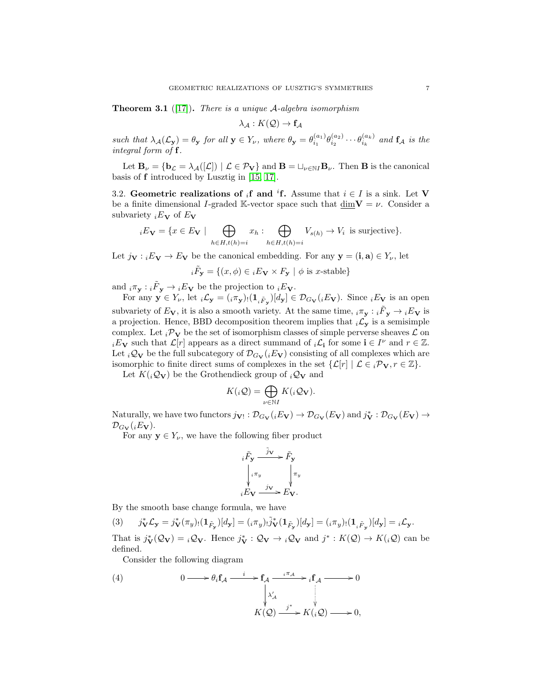<span id="page-6-2"></span>**Theorem 3.1** ([\[17\]](#page-23-2)). There is a unique A-algebra isomorphism

$$
\lambda_{\mathcal{A}} : K(\mathcal{Q}) \to \mathbf{f}_{\mathcal{A}}
$$

such that  $\lambda_{\mathcal{A}}(\mathcal{L}_{\mathbf{y}}) = \theta_{\mathbf{y}}$  for all  $\mathbf{y} \in Y_{\nu}$ , where  $\theta_{\mathbf{y}} = \theta_{i_1}^{(a_1)} \theta_{i_2}^{(a_2)} \cdots \theta_{i_k}^{(a_k)}$  and  $\mathbf{f}_{\mathcal{A}}$  is the integral form of f.

Let  $\mathbf{B}_{\nu} = {\mathbf{b}_{\mathcal{L}} = \lambda_{\mathcal{A}}([\mathcal{L}]) \mid \mathcal{L} \in \mathcal{P}_{\mathbf{V}}}$  and  $\mathbf{B} = \sqcup_{\nu \in \mathbb{N}I} \mathbf{B}_{\nu}$ . Then **B** is the canonical basis of f introduced by Lusztig in [\[15,](#page-23-1) [17\]](#page-23-2).

<span id="page-6-0"></span>3.2. Geometric realizations of <sub>i</sub>f and <sup>i</sup>f. Assume that  $i \in I$  is a sink. Let V be a finite dimensional I-graded K-vector space such that dim  $V = \nu$ . Consider a subvariety  $iE_V$  of  $E_V$ 

$$
{}_{i}E_{\mathbf{V}} = \{ x \in E_{\mathbf{V}} \mid \bigoplus_{h \in H, t(h) = i} x_{h} : \bigoplus_{h \in H, t(h) = i} V_{s(h)} \to V_{i} \text{ is surjective} \}.
$$

Let  $j_{\mathbf{V}} : {}_iE_{\mathbf{V}} \to E_{\mathbf{V}}$  be the canonical embedding. For any  $\mathbf{y} = (\mathbf{i}, \mathbf{a}) \in Y_{\nu}$ , let

$$
{}_{i}\tilde{F}_{\mathbf{y}} = \{(x,\phi) \in {}_{i}E_{\mathbf{V}} \times F_{\mathbf{y}} \mid \phi \text{ is } x\text{-stable}\}
$$

and  $_i\pi_{\mathbf{y}}: {}_i\tilde{F}_{\mathbf{y}} \to {}_iE_{\mathbf{V}}$  be the projection to  ${}_iE_{\mathbf{V}}$ .

For any  $\mathbf{y} \in Y_{\nu}$ , let  $_i \mathcal{L}_{\mathbf{y}} = (i \pi_{\mathbf{y}}) \cdot (1_{i \tilde{F}_{\mathbf{y}}})[d_{\mathbf{y}}] \in \mathcal{D}_{G_{\mathbf{V}}}(i E_{\mathbf{V}})$ . Since  $_i E_{\mathbf{V}}$  is an open subvariety of  $E_V$ , it is also a smooth variety. At the same time,  $_i\pi_y : i\tilde{F}_y \to iE_V$  is a projection. Hence, BBD decomposition theorem implies that  ${}_{i}\mathcal{L}_{y}$  is a semisimple complex. Let  ${}_{i}\mathcal{P}_{V}$  be the set of isomorphism classes of simple perverse sheaves  $\mathcal{L}$  on  $iE_V$  such that  $\mathcal{L}[r]$  appears as a direct summand of  $i\mathcal{L}_i$  for some  $i \in I^{\nu}$  and  $r \in \mathbb{Z}$ . Let  $i\mathcal{Q}_V$  be the full subcategory of  $\mathcal{D}_{G_V}(iE_V)$  consisting of all complexes which are isomorphic to finite direct sums of complexes in the set  $\{\mathcal{L}[r] \mid \mathcal{L} \in {}_{i} \mathcal{P}_{\mathbf{V}}, r \in \mathbb{Z}\}.$ 

Let  $K({}_i\mathcal{Q}_{\mathbf{V}})$  be the Grothendieck group of  ${}_i\mathcal{Q}_{\mathbf{V}}$  and

$$
K(_{i}\mathcal{Q}) = \bigoplus_{\nu \in \mathbb{N}I} K(_{i}\mathcal{Q}_{\mathbf{V}}).
$$

Naturally, we have two functors  $j_{V} : \mathcal{D}_{G_V}(iE_V) \to \mathcal{D}_{G_V}(E_V)$  and  $j_V^* : \mathcal{D}_{G_V}(E_V) \to$  $\mathcal{D}_{G_V}(iE_V)$ .

For any  $y \in Y_{\nu}$ , we have the following fiber product

<span id="page-6-3"></span><span id="page-6-1"></span>
$$
i\tilde{F}_{\mathbf{y}} \xrightarrow{\tilde{j}_{\mathbf{V}}} \tilde{F}_{\mathbf{y}} \\
\downarrow_{i\pi_{y}} \qquad \qquad \downarrow_{\pi_{y}} \\
iE_{\mathbf{V}} \xrightarrow{j_{\mathbf{V}}} E_{\mathbf{V}}.
$$

By the smooth base change formula, we have

$$
(3) \qquad j_{\mathbf{V}}^*\mathcal{L}_{\mathbf{y}} = j_{\mathbf{V}}^*(\pi_y) \cdot (\mathbf{1}_{\tilde{F}_{\mathbf{y}}})[d_{\mathbf{y}}] = (i\pi_y) \cdot \tilde{j}_{\mathbf{V}}^*(\mathbf{1}_{\tilde{F}_{\mathbf{y}}})[d_{\mathbf{y}}] = (i\pi_y) \cdot (\mathbf{1}_{i\tilde{F}_{\mathbf{y}}})[d_{\mathbf{y}}] = i\mathcal{L}_{\mathbf{y}}.
$$

That is  $j_V^*(\mathcal{Q}_V) = i\mathcal{Q}_V$ . Hence  $j_V^*: \mathcal{Q}_V \to i\mathcal{Q}_V$  and  $j^*: K(\mathcal{Q}) \to K(i\mathcal{Q})$  can be defined.

Consider the following diagram

(4) 
$$
0 \longrightarrow \theta_i \mathbf{f}_\mathcal{A} \xrightarrow{i} \mathbf{f}_\mathcal{A} \xrightarrow{i \pi_\mathcal{A}} i \mathbf{f}_\mathcal{A} \longrightarrow 0
$$

$$
\downarrow \chi'_\mathcal{A} \qquad \qquad \downarrow \chi'_\mathcal{A} \qquad \qquad \downarrow \chi'_\mathcal{A} \qquad \qquad \downarrow \chi'_\mathcal{A} \longrightarrow 0,
$$

$$
K(\mathcal{Q}) \xrightarrow{j^*} K(i\mathcal{Q}) \longrightarrow 0,
$$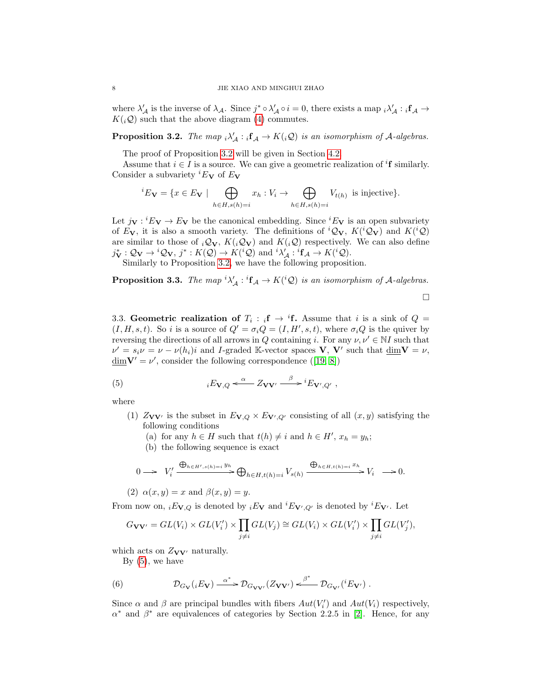where  $\lambda'_{\mathcal{A}}$  is the inverse of  $\lambda_{\mathcal{A}}$ . Since  $j^* \circ \lambda'_{\mathcal{A}} \circ i = 0$ , there exists a map  $_i \lambda'_{\mathcal{A}} : i \mathbf{f}_{\mathcal{A}} \to$  $K(j\mathcal{Q})$  such that the above diagram [\(4\)](#page-6-1) commutes.

<span id="page-7-1"></span>**Proposition 3.2.** The map  $i\lambda'_{\mathcal{A}} : i\mathbf{f}_{\mathcal{A}} \to K(i\mathcal{Q})$  is an isomorphism of A-algebras.

The proof of Proposition [3.2](#page-7-1) will be given in Section [4.2.](#page-9-2)

Assume that  $i \in I$  is a source. We can give a geometric realization of <sup>i</sup>f similarly. Consider a subvariety  ${}^{i}E_{V}$  of  $E_{V}$ 

$$
{}^{i}E_{\mathbf{V}} = \{x \in E_{\mathbf{V}} \mid \bigoplus_{h \in H, s(h)=i} x_h : V_i \to \bigoplus_{h \in H, s(h)=i} V_{t(h)} \text{ is injective} \}.
$$

Let  $j_{\mathbf{V}} : {}^{i}E_{\mathbf{V}} \to E_{\mathbf{V}}$  be the canonical embedding. Since  ${}^{i}E_{\mathbf{V}}$  is an open subvariety of  $E_V$ , it is also a smooth variety. The definitions of  ${}^iQ_V$ ,  $K({}^iQ_V)$  and  $K({}^iQ)$ are similar to those of  $_i\mathcal{Q}_V$ ,  $K(i\mathcal{Q}_V)$  and  $K(i\mathcal{Q})$  respectively. We can also define  $j^*_{\mathbf{V}}:\mathcal{Q}_{\mathbf{V}} \to {}^i\mathcal{Q}_{\mathbf{V}}, j^*: K(\mathcal{Q}) \to K({}^i\mathcal{Q})$  and  ${}^i\lambda'_{\mathcal{A}} : {}^i\mathbf{f}_{\mathcal{A}} \to K({}^i\mathcal{Q}).$ 

Similarly to Proposition [3.2,](#page-7-1) we have the following proposition.

<span id="page-7-3"></span>**Proposition 3.3.** The map  ${}^{i}\lambda'_{\mathcal{A}} : {}^{i}f_{\mathcal{A}} \to K({}^{i}\mathcal{Q})$  is an isomorphism of A-algebras.

<span id="page-7-2"></span> $\Box$ 

<span id="page-7-0"></span>3.3. Geometric realization of  $T_i : {}_i f \rightarrow {}^i f$ . Assume that i is a sink of  $Q =$  $(I, H, s, t)$ . So i is a source of  $Q' = \sigma_i Q = (I, H', s, t)$ , where  $\sigma_i Q$  is the quiver by reversing the directions of all arrows in Q containing i. For any  $\nu, \nu' \in NI$  such that  $\nu' = s_i \nu = \nu - \nu(h_i)i$  and *I*-graded K-vector spaces **V**, **V**' such that  $\underline{\dim}$ **V** =  $\nu$ ,  $\underline{\dim} \mathbf{V}' = \nu'$ , consider the following correspondence ([\[19,](#page-23-7) [8\]](#page-23-18))

(5) 
$$
{}_{i}E_{\mathbf{V},Q} \leftarrow \alpha \text{ } Z_{\mathbf{V}\mathbf{V}'} \xrightarrow{\beta} {}^{i}E_{\mathbf{V}',Q'} ,
$$

where

- (1)  $Z_{\mathbf{V}\mathbf{V}'}$  is the subset in  $E_{\mathbf{V},Q} \times E_{\mathbf{V}',Q'}$  consisting of all  $(x,y)$  satisfying the following conditions
	- (a) for any  $h \in H$  such that  $t(h) \neq i$  and  $h \in H'$ ,  $x_h = y_h$ ;
	- (b) the following sequence is exact

$$
0 \longrightarrow V_i' \xrightarrow{\bigoplus_{h \in H', s(h)=i} y_h} \bigoplus_{h \in H, t(h)=i} V_{s(h)} \xrightarrow{\bigoplus_{h \in H, t(h)=i} x_h} V_i \longrightarrow 0.
$$

(2)  $\alpha(x, y) = x$  and  $\beta(x, y) = y$ .

From now on,  $_i E_{V,Q}$  is denoted by  $_i E_V$  and  $^i E_{V',Q'}$  is denoted by  $^i E_{V'}$ . Let

$$
G_{\mathbf{V}\mathbf{V}'} = GL(V_i) \times GL(V'_i) \times \prod_{j \neq i} GL(V_j) \cong GL(V_i) \times GL(V'_i) \times \prod_{j \neq i} GL(V'_j),
$$

which acts on  $Z_{\mathbf{V}\mathbf{V}'}$  naturally.

<span id="page-7-4"></span>By  $(5)$ , we have

(6) 
$$
\mathcal{D}_{G_{\mathbf{V}}(i}E_{\mathbf{V}}) \xrightarrow{\alpha^*} \mathcal{D}_{G_{\mathbf{V}\mathbf{V}'}}(Z_{\mathbf{V}\mathbf{V}'}) \xleftarrow{\beta^*} \mathcal{D}_{G_{\mathbf{V}'}}(iE_{\mathbf{V}'}) .
$$

Since  $\alpha$  and  $\beta$  are principal bundles with fibers  $Aut(V_i')$  and  $Aut(V_i)$  respectively,  $\alpha^*$  and  $\beta^*$  are equivalences of categories by Section 2.2.5 in [\[2\]](#page-23-26). Hence, for any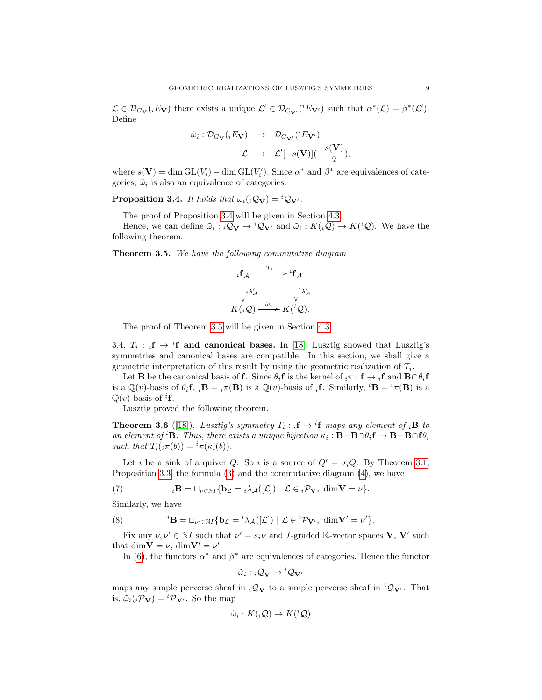$\mathcal{L} \in \mathcal{D}_{G_V}(iE_V)$  there exists a unique  $\mathcal{L}' \in \mathcal{D}_{G_{V'}}({}^{i}E_{V'})$  such that  $\alpha^*(\mathcal{L}) = \beta^*(\mathcal{L}')$ . Define

$$
\tilde{\omega}_i : \mathcal{D}_{G_{\mathbf{V}}}(iE_{\mathbf{V}}) \rightarrow \mathcal{D}_{G_{\mathbf{V'}}}(iE_{\mathbf{V'}})
$$

$$
\mathcal{L} \rightarrow \mathcal{L'}[-s(\mathbf{V})](-\frac{s(\mathbf{V})}{2}),
$$

where  $s(\mathbf{V}) = \dim \mathrm{GL}(V_i) - \dim \mathrm{GL}(V_i')$ . Since  $\alpha^*$  and  $\beta^*$  are equivalences of categories,  $\tilde{\omega}_i$  is also an equivalence of categories.

<span id="page-8-2"></span>**Proposition 3.4.** It holds that  $\tilde{\omega}_i({}_i\mathcal{Q}_V) = {}^i\mathcal{Q}_{V'}$ .

The proof of Proposition [3.4](#page-8-2) will be given in Section [4.3.](#page-12-0)

Hence, we can define  $\tilde{\omega}_i : {}_i\mathcal{Q}_V \to {}^i\mathcal{Q}_{V'}$  and  $\tilde{\omega}_i : K({}_i\mathcal{Q}) \to K({}^i\mathcal{Q})$ . We have the following theorem.

<span id="page-8-1"></span>**Theorem 3.5.** We have the following commutative diagram

$$
i\mathbf{f}_{\mathcal{A}} \xrightarrow{T_i} i\mathbf{f}_{\mathcal{A}} \\
\downarrow i\lambda'_{\mathcal{A}} \qquad \qquad \downarrow i\lambda'_{\mathcal{A}} \\
K(i\mathcal{Q}) \xrightarrow{\tilde{\omega}_i} K(i\mathcal{Q}).
$$

The proof of Theorem [3.5](#page-8-1) will be given in Section [4.3.](#page-12-0)

<span id="page-8-0"></span>3.4.  $T_i$ :  $_i f \rightarrow i f$  and canonical bases. In [\[18\]](#page-23-23), Lusztig showed that Lusztig's symmetries and canonical bases are compatible. In this section, we shall give a geometric interpretation of this result by using the geometric realization of  $T_i$ .

Let **B** be the canonical basis of **f**. Since  $\theta_i$ **f** is the kernel of  $_i\pi : \mathbf{f} \to {}_i\mathbf{f}$  and  $\mathbf{B} \cap \theta_i$ **f** is a  $\mathbb{Q}(v)$ -basis of  $\theta_i$ **f**,  $_i$ **B** =  $_i\pi$ (**B**) is a  $\mathbb{Q}(v)$ -basis of  $_i$ **f**. Similarly,  ${}^i$ **B** =  ${}^i\pi$ (**B**) is a  $\mathbb{Q}(v)$ -basis of <sup>i</sup>f.

Lusztig proved the following theorem.

<span id="page-8-5"></span>**Theorem 3.6** ([\[18\]](#page-23-23)). Lusztig's symmetry  $T_i : {}_i\mathbf{f} \to {}^i\mathbf{f}$  maps any element of  ${}_i\mathbf{B}$  to an element of <sup>*i*</sup>**B**. Thus, there exists a unique bijection  $\kappa_i : \mathbf{B} - \mathbf{B} \cap \theta_i \mathbf{f} \to \mathbf{B} - \mathbf{B} \cap \theta_i$ such that  $T_i(j\pi(b)) = {}^i\pi(\kappa_i(b)).$ 

Let i be a sink of a quiver Q. So i is a source of  $Q' = \sigma_i Q$ . By Theorem [3.1,](#page-6-2) Proposition [3.3,](#page-7-3) the formula [\(3\)](#page-6-3) and the commutative diagram [\(4\)](#page-6-1), we have

<span id="page-8-4"></span>(7) 
$$
{}_{i}\mathbf{B} = \sqcup_{\nu \in \mathbb{N}I} \{ \mathbf{b}_{\mathcal{L}} = {}_{i}\lambda_{\mathcal{A}}([\mathcal{L}]) \mid \mathcal{L} \in {}_{i}\mathcal{P}_{\mathbf{V}}, \underline{\dim} \mathbf{V} = \nu \}.
$$

Similarly, we have

(8) 
$$
{}^{i}\mathbf{B} = \sqcup_{\nu' \in \mathbb{N}I} \{ \mathbf{b}_{\mathcal{L}} = {}^{i}\lambda_{\mathcal{A}}([\mathcal{L}]) \mid \mathcal{L} \in {}^{i}\mathcal{P}_{\mathbf{V}'}, \underline{\dim} \mathbf{V}' = \nu' \}.
$$

Fix any  $\nu, \nu' \in \mathbb{N}I$  such that  $\nu' = s_i\nu$  and I-graded K-vector spaces **V**, **V'** such that  $\dim V = \nu$ ,  $\dim V' = \nu'$ .

In [\(6\)](#page-7-4), the functors  $\alpha^*$  and  $\beta^*$  are equivalences of categories. Hence the functor

<span id="page-8-3"></span>
$$
\tilde{\omega}_i : {}_i\mathcal{Q}_\mathbf{V} \to {}^i\mathcal{Q}_{\mathbf{V}'}
$$

maps any simple perverse sheaf in  $i\mathcal{Q}_{\mathbf{V}}$  to a simple perverse sheaf in  $i\mathcal{Q}_{\mathbf{V'}}$ . That is,  $\tilde{\omega}_i(i \mathcal{P}_V) = {}^{i} \mathcal{P}_{V'}$ . So the map

$$
\tilde{\omega}_i: K({}_i\mathcal{Q}) \to K({}^i\mathcal{Q})
$$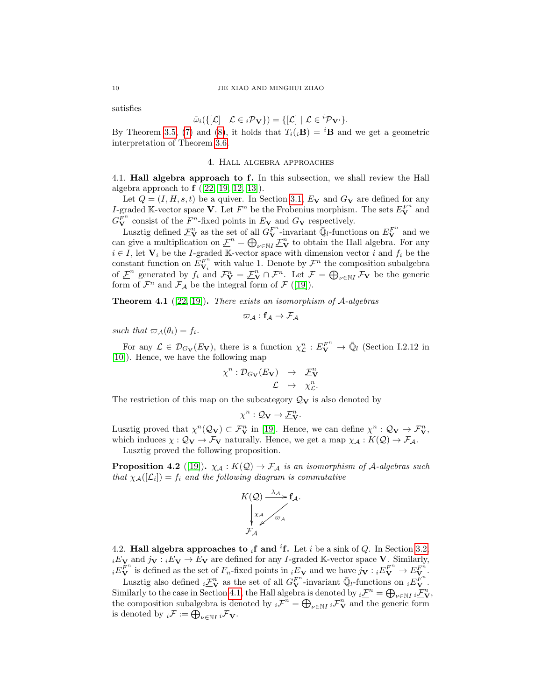satisfies

$$
\tilde{\omega}_i(\{[\mathcal{L}] \mid \mathcal{L} \in {}_i\mathcal{P}_\mathbf{V}\}) = \{[\mathcal{L}] \mid \mathcal{L} \in {}^i\mathcal{P}_{\mathbf{V}'}\}.
$$

By Theorem [3.5,](#page-8-1) [\(7\)](#page-8-3) and [\(8\)](#page-8-4), it holds that  $T_i(\mathbf{B}) = {}^i\mathbf{B}$  and we get a geometric interpretation of Theorem [3.6.](#page-8-5)

#### 4. Hall algebra approaches

<span id="page-9-1"></span><span id="page-9-0"></span>4.1. Hall algebra approach to f. In this subsection, we shall review the Hall algebra approach to  $f$  ([\[22,](#page-23-6) [19,](#page-23-7) [12,](#page-23-27) [13\]](#page-23-28)).

Let  $Q = (I, H, s, t)$  be a quiver. In Section [3.1,](#page-4-2)  $E_V$  and  $G_V$  are defined for any I-graded K-vector space **V**. Let  $F^n$  be the Frobenius morphism. The sets  $E_V^{F^n}$  and  $G_V^{\tilde{F}^n}$  consist of the  $F^n$ -fixed points in  $E_V$  and  $G_V$  respectively.

Lusztig defined  $\underline{\mathcal{F}}_{\bf V}^n$  as the set of all  $G_{\bf V}^{F^n}$ -invariant  $\overline{\mathbb{Q}}_l$ -functions on  $E_{\bf V}^{F^n}$  and we can give a multiplication on  $\underline{\mathcal{F}}^n = \bigoplus_{\nu \in \mathbb{N}I} \underline{\mathcal{F}}^n_{\mathbf{V}}$  to obtain the Hall algebra. For any  $i \in I$ , let  $V_i$  be the I-graded K-vector space with dimension vector i and  $f_i$  be the constant function on  $\widetilde{E}_{V_i}^{F^n}$  with value 1. Denote by  $\mathcal{F}^n$  the composition subalgebra of  $\underline{\mathcal{F}}^n$  generated by  $f_i$  and  $\mathcal{F}_{\mathbf{V}}^n = \underline{\mathcal{F}}_{\mathbf{V}}^n \cap \mathcal{F}^n$ . Let  $\mathcal{F} = \bigoplus_{\nu \in \mathbb{N}^I} \mathcal{F}_{\mathbf{V}}$  be the generic form of  $\mathcal{F}^n$  and  $\mathcal{F}_{\mathcal{A}}$  be the integral form of  $\mathcal{F}$  ([\[19\]](#page-23-7)).

**Theorem 4.1** ([\[22,](#page-23-6) [19\]](#page-23-7)). There exists an isomorphism of  $A$ -algebras

$$
\varpi_{\mathcal{A}} : \mathbf{f}_{\mathcal{A}} \rightarrow \mathcal{F}_{\mathcal{A}}
$$

such that  $\varpi_{\mathcal{A}}(\theta_i) = f_i$ .

For any  $\mathcal{L} \in \mathcal{D}_{G_V}(E_V)$ , there is a function  $\chi_L^n : E_V^{F^n} \to \overline{\mathbb{Q}}_l$  (Section I.2.12 in [\[10\]](#page-23-29)). Hence, we have the following map

$$
\chi^n : \mathcal{D}_{G_\mathbf{V}}(E_\mathbf{V}) \rightarrow \mathcal{L}_{\mathbf{V}}^n
$$
  

$$
\mathcal{L} \mapsto \chi^n_{\mathcal{L}}.
$$

The restriction of this map on the subcategory  $\mathcal{Q}_{\mathbf{V}}$  is also denoted by

$$
\chi^n: \mathcal{Q}_\mathbf{V} \to \underline{\mathcal{F}}^n_\mathbf{V}.
$$

Lusztig proved that  $\chi^n(\mathcal{Q}_{\mathbf{V}}) \subset \mathcal{F}_{\mathbf{V}}^n$  in [\[19\]](#page-23-7). Hence, we can define  $\chi^n : \mathcal{Q}_{\mathbf{V}} \to \mathcal{F}_{\mathbf{V}}^n$ , which induces  $\chi : \mathcal{Q}_{\mathbf{V}} \to \mathcal{F}_{\mathbf{V}}$  naturally. Hence, we get a map  $\chi_{\mathcal{A}} : K(\mathcal{Q}) \to \mathcal{F}_{\mathcal{A}}$ .

Lusztig proved the following proposition.

**Proposition 4.2** ([\[19\]](#page-23-7)).  $\chi_A : K(Q) \to \mathcal{F}_A$  is an isomorphism of A-algebras such that  $\chi_{\mathcal{A}}([\mathcal{L}_i]) = f_i$  and the following diagram is commutative



<span id="page-9-2"></span>4.2. Hall algebra approaches to  $_i$ f and <sup>i</sup>f. Let i be a sink of Q. In Section [3.2,](#page-6-0)  $iE_V$  and  $j_V : iE_V \to E_V$  are defined for any *I*-graded K-vector space V. Similarly,  $iE_{\mathbf{V}}^{F^n}$  is defined as the set of  $F_n$ -fixed points in  $iE_{\mathbf{V}}$  and we have  $j_{\mathbf{V}} : iE_{\mathbf{V}}^{F^n} \to E_{\mathbf{V}}^{F^n}$ .

Lusztig also defined  $_i \underline{\mathcal{F}}_{\mathbf{V}}^n$  as the set of all  $G_{\mathbf{V}}^{F^n}$ -invariant  $\overline{\mathbb{Q}}_l$ -functions on  $_i E_{\mathbf{V}}^{F^n}$ . Similarly to the case in Section [4.1,](#page-9-1) the Hall algebra is denoted by  $_i \underline{\mathcal{F}}^n = \bigoplus_{\nu \in \mathbb{N}} i \underline{\mathcal{F}}^n_{\mathbf{V}},$ the composition subalgebra is denoted by  $_i \mathcal{F}^n = \bigoplus_{\nu \in \mathbb{N}^I} i \mathcal{F}^n$  and the generic form is denoted by  $_i \mathcal{F} := \bigoplus_{\nu \in \mathbb{N}I} i \mathcal{F}_V$ .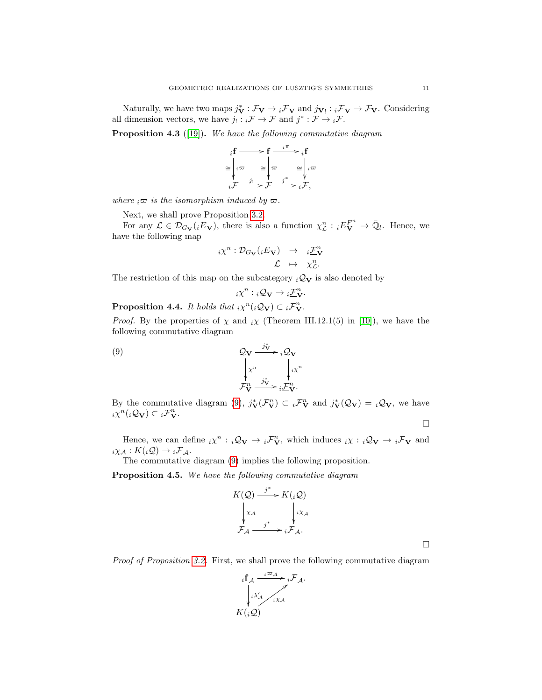Naturally, we have two maps  $j_V^* : \mathcal{F}_V \to {}_i\mathcal{F}_V$  and  $j_{V} : {}_i\mathcal{F}_V \to \mathcal{F}_V$ . Considering all dimension vectors, we have  $j_! : {}_{i}\mathcal{F} \to \mathcal{F}$  and  $j^* : \mathcal{F} \to {}_{i}\mathcal{F}$ .

<span id="page-10-1"></span>**Proposition 4.3** ([\[19\]](#page-23-7)). We have the following commutative diagram

$$
i \mathbf{f} \longrightarrow \mathbf{f} \xrightarrow{i \pi} i \mathbf{f}
$$

$$
\cong \begin{vmatrix} i\varpi & \varpi \\ i\varpi & \varpi \\ i\varpi & \varpi \end{vmatrix} \varpi \xrightarrow{i^*} i \varpi
$$

$$
i \mathcal{F} \xrightarrow{j^*} \mathcal{F} \xrightarrow{j^*} i \mathcal{F},
$$

where  ${}_i\overline{\omega}$  is the isomorphism induced by  $\overline{\omega}$ .

Next, we shall prove Proposition [3.2.](#page-7-1)

For any  $\mathcal{L} \in \mathcal{D}_{G_{\mathbf{V}}}(iE_{\mathbf{V}})$ , there is also a function  $\chi_{\mathcal{L}}^{n} : iE_{\mathbf{V}}^{F^{n}} \to \overline{\mathbb{Q}}_{l}$ . Hence, we have the following map

$$
i\chi^n: \mathcal{D}_{G_{\mathbf{V}}}(iE_{\mathbf{V}}) \rightarrow i\frac{\mathcal{F}_{\mathbf{V}}^n}{\mathcal{L}}\\ \mathcal{L} \rightarrow \chi^n_{\mathcal{L}}.
$$

The restriction of this map on the subcategory  $_i\mathcal{Q}_V$  is also denoted by

<span id="page-10-0"></span>
$$
i\chi^n: {}_{i}\mathcal{Q}_{\mathbf{V}} \to {}_{i}\underline{\mathcal{F}}_{\mathbf{V}}^n.
$$

<span id="page-10-2"></span>**Proposition 4.4.** It holds that  ${}_i\chi^n({}_i\mathcal{Q}_{\mathbf{V}}) \subset {}_i\mathcal{F}_{\mathbf{V}}^n$ .

*Proof.* By the properties of  $\chi$  and  $\chi$  (Theorem III.12.1(5) in [\[10\]](#page-23-29)), we have the following commutative diagram

(9) 
$$
\mathcal{Q}_{\mathbf{V}} \xrightarrow{j_{\mathbf{V}}^{*}} i \mathcal{Q}_{\mathbf{V}}
$$

$$
\downarrow x^{n} \qquad \qquad \downarrow x^{n}
$$

$$
\mathcal{F}_{\mathbf{V}}^{n} \xrightarrow{j_{\mathbf{V}}^{*}} i \mathcal{F}_{\mathbf{V}}^{n}.
$$

By the commutative diagram [\(9\)](#page-10-0),  $j_V^*(\mathcal{F}_V^n) \subset i\mathcal{F}_V^n$  and  $j_V^*(\mathcal{Q}_V) = i\mathcal{Q}_V$ , we have  $\sum_{i=1}^{n} \chi^{n}(\mathfrak{g}_{\mathbf{V}}) \subset \mathfrak{g}_{\mathbf{V}}^{\mathbf{V}}$ .

 $\Box$ 

 $\Box$ 

Hence, we can define  $_i\chi^n$ :  $_i\mathcal{Q}_{\mathbf{V}} \to {}_i\mathcal{F}_{\mathbf{V}}^n$ , which induces  $_i\chi$ :  $_i\mathcal{Q}_{\mathbf{V}} \to {}_i\mathcal{F}_{\mathbf{V}}$  and  $i\chi_{\mathcal{A}} : K(i\mathcal{Q}) \to {}_i\mathcal{F}_{\mathcal{A}}.$ 

The commutative diagram [\(9\)](#page-10-0) implies the following proposition.

Proposition 4.5. We have the following commutative diagram

$$
K(Q) \xrightarrow{j^*} K(_iQ)
$$
  
\n
$$
\downarrow x_A
$$
  
\n
$$
\downarrow iX_A
$$
  
\n
$$
\downarrow iX_A
$$
  
\n
$$
\downarrow iX_A
$$
  
\n
$$
\downarrow iX_A
$$

Proof of Proposition [3.2.](#page-7-1) First, we shall prove the following commutative diagram

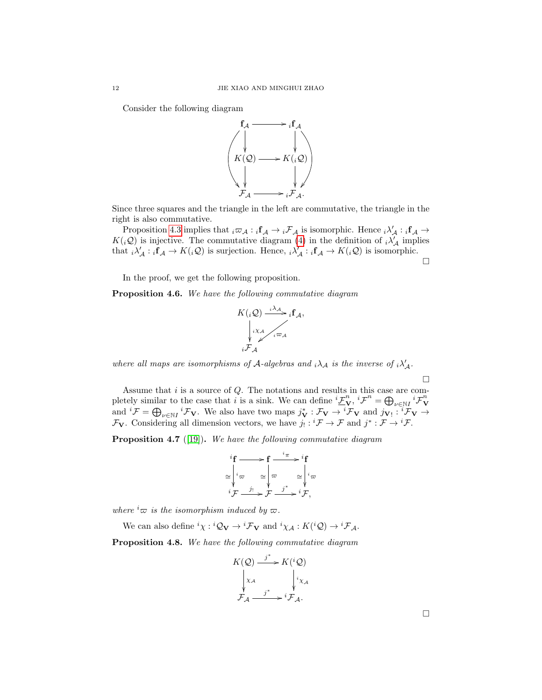Consider the following diagram



Since three squares and the triangle in the left are commutative, the triangle in the right is also commutative.

Proposition [4.3](#page-10-1) implies that  ${}_i\varpi_{\mathcal{A}} : {}_i\mathbf{f}_{\mathcal{A}} \to {}_i\mathcal{F}_{\mathcal{A}}$  is isomorphic. Hence  ${}_i\lambda'_{\mathcal{A}} : {}_i\mathbf{f}_{\mathcal{A}} \to$  $K(_i\mathcal{Q})$  is injective. The commutative diagram [\(4\)](#page-6-1) in the definition of  $_i\lambda'_{\mathcal{A}}$  implies that  $_i\lambda'_{\mathcal{A}}: {}_{i}f_{\mathcal{A}} \to K(i\mathcal{Q})$  is surjection. Hence,  ${}_{i}\lambda'_{\mathcal{A}}: {}_{i}f_{\mathcal{A}} \to K(i\mathcal{Q})$  is isomorphic.

 $\Box$ 

In the proof, we get the following proposition.

**Proposition 4.6.** We have the following commutative diagram



where all maps are isomorphisms of A-algebras and  $_i\lambda_A$  is the inverse of  $_i\lambda'_A$ .

 $\Box$ 

Assume that  $i$  is a source of  $Q$ . The notations and results in this case are completely similar to the case that i is a sink. We can define  ${}^{i}\underline{\mathcal{F}}_{\mathbf{V}}^{n}$ ,  ${}^{i}\mathcal{F}^{n} = \bigoplus_{\nu \in \mathbb{N}^{I}} {}^{i}\mathcal{F}_{\mathbf{V}}^{n}$ phetely similar to the case that t is a sink. We can define  $\frac{\partial^2 V}{\partial x^2}$ ,  $\frac{\partial^2 V}{\partial y^2}$  and  $\frac{\partial^2 V}{\partial y^2}$  and  $\frac{\partial^2 V}{\partial x^2}$  and  $\frac{\partial^2 V}{\partial y^2}$  and  $\frac{\partial^2 V}{\partial x^2}$  $\mathcal{F}_{\mathbf{V}}$ . Considering all dimension vectors, we have  $j_! : {^i\mathcal{F}} \to \mathcal{F}$  and  $j^* : \mathcal{F} \to {^i\mathcal{F}}$ .

Proposition 4.7 ([\[19\]](#page-23-7)). We have the following commutative diagram

$$
\begin{array}{ccc}\n i \mathbf{f} & \longrightarrow & \mathbf{f} & \xrightarrow{i_{\pi}} & i \mathbf{f} \\
\cong & \downarrow i_{\varpi} & \cong & \downarrow \varpi & \cong & \downarrow i_{\varpi} \\
 i \mathcal{F} & \xrightarrow{j_1} & \mathcal{F} & \xrightarrow{j^*} & i \mathcal{F},\n\end{array}
$$

where  ${}^{i}\nabla$  is the isomorphism induced by  $\varpi$ .

We can also define  ${}^{i}\chi : {}^{i}\mathcal{Q}_{V} \to {}^{i}\mathcal{F}_{V}$  and  ${}^{i}\chi_{\mathcal{A}} : K({}^{i}\mathcal{Q}) \to {}^{i}\mathcal{F}_{\mathcal{A}}$ .

Proposition 4.8. We have the following commutative diagram



 $\Box$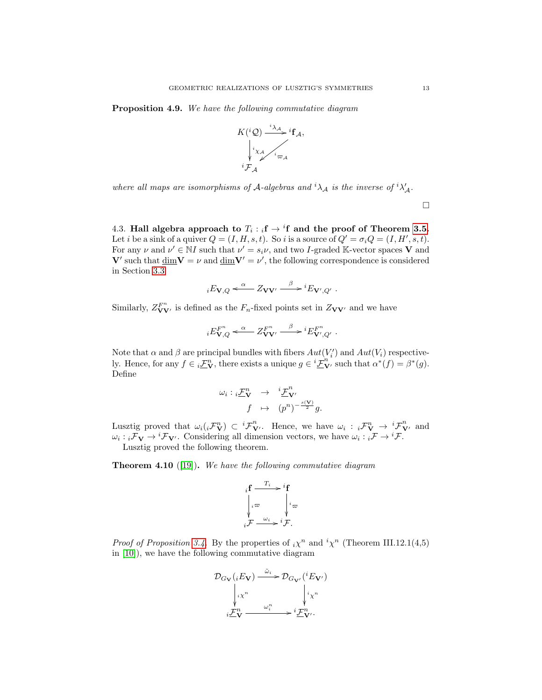Proposition 4.9. We have the following commutative diagram



where all maps are isomorphisms of A-algebras and  ${}^{i}\lambda_{A}$  is the inverse of  ${}^{i}\lambda'_{A}$ .

 $\Box$ 

<span id="page-12-0"></span>4.3. Hall algebra approach to  $T_i : {}_i\mathbf{f} \to {}^i\mathbf{f}$  and the proof of Theorem [3.5.](#page-8-1) Let *i* be a sink of a quiver  $Q = (I, H, s, t)$ . So *i* is a source of  $Q' = \sigma_i Q = (I, H', s, t)$ . For any  $\nu$  and  $\nu' \in NI$  such that  $\nu' = s_i \nu$ , and two *I*-graded K-vector spaces **V** and V' such that  $\dim V = \nu$  and  $\dim V' = \nu'$ , the following correspondence is considered in Section [3.3](#page-7-0)

$$
{}_{i}E_{\mathbf{V},Q} \xleftarrow{\alpha} Z_{\mathbf{V}\mathbf{V}'} \xrightarrow{\beta} {}^{i}E_{\mathbf{V}',Q'}.
$$

Similarly,  $Z_{\mathbf{VV}}^{F^n}$  is defined as the  $F_n$ -fixed points set in  $Z_{\mathbf{VV}}$  and we have

$$
iE_{\mathbf{V},Q}^{F^n} \xleftarrow{\alpha} Z_{\mathbf{V}\mathbf{V}'}^{F^n} \xrightarrow{\beta} {}^iE_{\mathbf{V}',Q'}^{F^n}.
$$

Note that  $\alpha$  and  $\beta$  are principal bundles with fibers  $Aut(V_i')$  and  $Aut(V_i)$  respectively. Hence, for any  $f \in i\mathcal{F}_{\mathbf{V}}^n$ , there exists a unique  $g \in i\mathcal{F}_{\mathbf{V}}^{n^*}$  such that  $\alpha^*(f) = \beta^*(g)$ . Define

$$
\begin{array}{rcl}\n\omega_i: \ _i\mathcal{F}_{\mathbf{V}}^n & \rightarrow & \ _i\mathcal{F}_{\mathbf{V}'}^n \\
f & \mapsto & (p^n)^{-\frac{s(\mathbf{V})}{2}}g.\n\end{array}
$$

Lusztig proved that  $\omega_i ({}_i\mathcal{F}_{\mathbf{V}}^n) \subset {}^i\mathcal{F}_{\mathbf{V}}^n$ . Hence, we have  $\omega_i : {}_i\mathcal{F}_{\mathbf{V}}^n \to {}^i\mathcal{F}_{\mathbf{V}}^n$  and  $\omega_i : i \mathcal{F}_V \to {}^i \mathcal{F}_{V'}$ . Considering all dimension vectors, we have  $\omega_i : i \mathcal{F} \to {}^i \mathcal{F}$ .

Lusztig proved the following theorem.

<span id="page-12-1"></span>**Theorem 4.10** ([\[19\]](#page-23-7)). We have the following commutative diagram

$$
i\mathbf{f} \xrightarrow{i} i\mathbf{f}
$$
\n
$$
\downarrow i\infty \qquad \qquad i\infty
$$
\n
$$
i\mathcal{F} \xrightarrow{w_i} i\mathcal{F}.
$$

*Proof of Proposition [3.4.](#page-8-2)* By the properties of  $_i\chi^n$  and  $i\chi^n$  (Theorem III.12.1(4,5) in [\[10\]](#page-23-29)), we have the following commutative diagram

$$
\mathcal{D}_{G_V}(iE_V) \xrightarrow{\tilde{\omega}_i} \mathcal{D}_{G_{V'}}(iE_{V'})
$$
\n
$$
\downarrow_{i\chi^n} \qquad \qquad \downarrow_{i\chi^n}
$$
\n
$$
\downarrow_{i\chi^n} \qquad \downarrow_{i\chi^n}
$$
\n
$$
\downarrow_{i\chi^n} \qquad \qquad \downarrow_{i\chi^n} \qquad \downarrow_{i\chi^n}
$$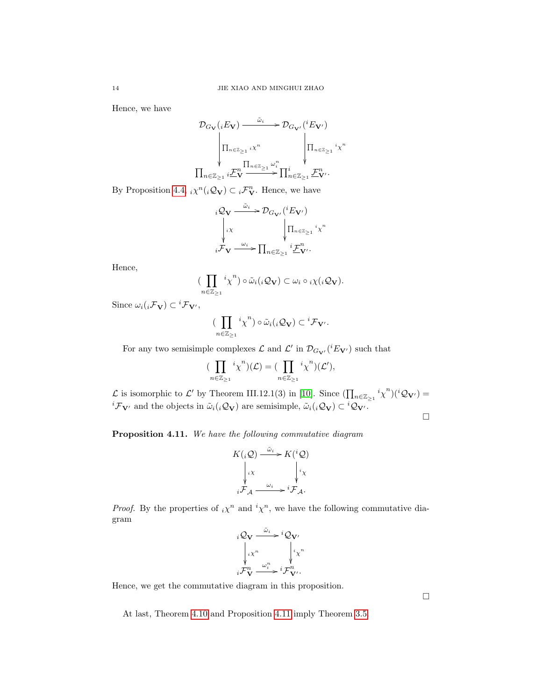Hence, we have

$$
\mathcal{D}_{G_{\mathbf{V}}}(iE_{\mathbf{V}}) \xrightarrow{\tilde{\omega}_{i}} \mathcal{D}_{G_{\mathbf{V}'}}({}^{i}E_{\mathbf{V}'})
$$
\n
$$
\left| \Pi_{n \in \mathbb{Z}_{\geq 1}} i\chi^{n} \right| \left| \Pi_{n \in \mathbb{Z}_{\geq 1}} i\chi^{n} \right|
$$
\n
$$
\prod_{n \in \mathbb{Z}_{\geq 1}} i\mathcal{F}_{\mathbf{V}}^{n} \xrightarrow{\prod_{n \in \mathbb{Z}_{\geq 1}} \omega_{i}^{n}} \prod_{n \in \mathbb{Z}_{\geq 1}} \mathcal{F}_{\mathbf{V}'}^{n}.
$$

By Proposition [4.4,](#page-10-2)  $_i\chi^n(i\mathcal{Q}_{\mathbf{V}}) \subset i\mathcal{F}_{\mathbf{V}}^n$ . Hence, we have

$$
i Q_V \xrightarrow{\tilde{\omega}_i} \mathcal{D}_{G_{\mathbf{V}'}}({}^{i}E_{\mathbf{V}'})
$$

$$
\downarrow i \times \qquad \qquad \downarrow \prod_{n \in \mathbb{Z}_{\geq 1}} {}^{i}x^{n}
$$

$$
i \mathcal{F}_{\mathbf{V}} \xrightarrow{\omega_i} \prod_{n \in \mathbb{Z}_{\geq 1}} {}^{i} \underline{\mathcal{F}}_{\mathbf{V}'}^{n}.
$$

Hence,

$$
\big(\prod_{n\in\mathbb{Z}_{\geq 1}} {^i\chi}^n\big)\circ\tilde{\omega}_i({_i\mathcal{Q}_\mathbf{V}})\subset\omega_i\circ {}_i\chi({_i\mathcal{Q}_\mathbf{V}}).
$$

Since  $\omega_i({}_i\mathcal{F}_\mathbf{V})\subset {}^i\mathcal{F}_{\mathbf{V}'},$ 

$$
(\prod_{n\in\mathbb{Z}_{\geq 1}} {^i\chi}^n)\circ\tilde{\omega}_i({}_i\mathcal{Q}_\mathbf{V})\subset {}^i\mathcal{F}_{\mathbf{V}'}.
$$

For any two semisimple complexes  $\mathcal L$  and  $\mathcal L'$  in  $\mathcal D_{G_{\mathbf{V}'}}({}^iE_{\mathbf{V}'})$  such that

$$
(\prod_{n\in\mathbb{Z}_{\geq 1}} {^i\chi^n})(\mathcal{L}) = (\prod_{n\in\mathbb{Z}_{\geq 1}} {^i\chi^n})(\mathcal{L}'),
$$

L is isomorphic to L' by Theorem III.12.1(3) in [\[10\]](#page-23-29). Since  $(\prod_{n\in\mathbb{Z}_{\geq 1}} {^i\chi^n})({^i\mathcal{Q}_{\mathbf{V'}}}) =$  ${}^{i}\mathcal{F}_{V'}$  and the objects in  $\tilde{\omega}_i({}_{i}\mathcal{Q}_V)$  are semisimple,  $\tilde{\omega}_i({}_{i}\mathcal{Q}_V) \subset {}^{i}\mathcal{Q}_{V'}$ .

 $\Box$ 

<span id="page-13-0"></span>Proposition 4.11. We have the following commutative diagram

$$
K(iQ) \xrightarrow{\tilde{\omega}_i} K(iQ)
$$

$$
\downarrow iX
$$

$$
\downarrow iY
$$

$$
\downarrow iY
$$

$$
\downarrow iY
$$

$$
\downarrow iY
$$

*Proof.* By the properties of  $_i\chi^n$  and  $i\chi^n$ , we have the following commutative diagram

$$
iQ_V \xrightarrow{\tilde{\omega}_i} iQ_V
$$
  
\n
$$
i\chi^n \qquad \qquad i\chi^n
$$
  
\n
$$
i\mathcal{F}_V^n \xrightarrow{\omega_i^n} i\mathcal{F}_{V'}^n.
$$

Hence, we get the commutative diagram in this proposition.

At last, Theorem [4.10](#page-12-1) and Proposition [4.11](#page-13-0) imply Theorem [3.5.](#page-8-1)

 $\Box$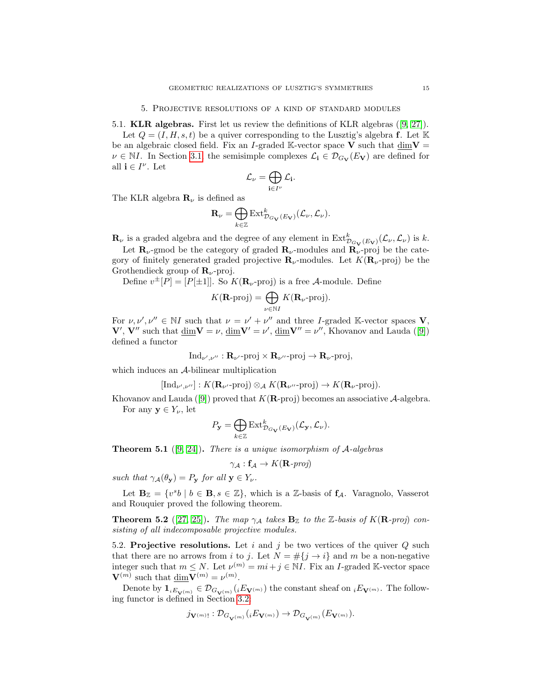<span id="page-14-1"></span><span id="page-14-0"></span>5.1. KLR algebras. First let us review the definitions of KLR algebras ([\[9,](#page-23-13) [27\]](#page-23-15)).

Let  $Q = (I, H, s, t)$  be a quiver corresponding to the Lusztig's algebra f. Let K be an algebraic closed field. Fix an I-graded K-vector space V such that  $\dim V =$  $\nu \in \mathbb{N}I$ . In Section [3.1,](#page-4-2) the semisimple complexes  $\mathcal{L}_{i} \in \mathcal{D}_{G_V}(E_V)$  are defined for all  $\mathbf{i} \in I^{\nu}$ . Let

$$
\mathcal{L}_{\nu} = \bigoplus_{\mathbf{i} \in I^{\nu}} \mathcal{L}_{\mathbf{i}}.
$$

The KLR algebra  $\mathbf{R}_{\nu}$  is defined as

$$
\mathbf{R}_{\nu} = \bigoplus_{k \in \mathbb{Z}} \text{Ext}^{k}_{\mathcal{D}_{G_{\mathbf{V}}}(E_{\mathbf{V}})}(\mathcal{L}_{\nu}, \mathcal{L}_{\nu}).
$$

 $\mathbf{R}_{\nu}$  is a graded algebra and the degree of any element in  $\text{Ext}^k_{\mathcal{D}_{G_V}(E_V)}(\mathcal{L}_{\nu}, \mathcal{L}_{\nu})$  is k.

Let  $\mathbf{R}_{\nu}$ -gmod be the category of graded  $\mathbf{R}_{\nu}$ -modules and  $\mathbf{R}_{\nu}$ -proj be the category of finitely generated graded projective  $\mathbf{R}_{\nu}$ -modules. Let  $K(\mathbf{R}_{\nu}$ -proj) be the Grothendieck group of  $\mathbf{R}_{\nu}$ -proj.

Define  $v^{\pm}[P] = [P[\pm 1]]$ . So  $K(\mathbf{R}_{\nu}$ -proj) is a free A-module. Define

$$
K(\mathbf{R}\text{-proj}) = \bigoplus_{\nu \in \mathbb{N}I} K(\mathbf{R}_{\nu}\text{-proj}).
$$

For  $\nu, \nu', \nu'' \in \mathbb{N}I$  such that  $\nu = \nu' + \nu''$  and three *I*-graded K-vector spaces **V**,  $V', V''$  such that  $\underline{\dim}V = \nu$ ,  $\underline{\dim}V' = \nu'$ ,  $\underline{\dim}V'' = \nu''$ , Khovanov and Lauda ([\[9\]](#page-23-13)) defined a functor

$$
\mathrm{Ind}_{\nu',\nu''} : \mathbf{R}_{\nu'}\text{-}\mathrm{proj} \times \mathbf{R}_{\nu''}\text{-}\mathrm{proj} \to \mathbf{R}_{\nu}\text{-}\mathrm{proj},
$$

which induces an  $A$ -bilinear multiplication

$$
[\text{Ind}_{\nu',\nu''}]: K(\mathbf{R}_{\nu'}\text{-proj}) \otimes_{\mathcal{A}} K(\mathbf{R}_{\nu''}\text{-proj}) \to K(\mathbf{R}_{\nu}\text{-proj}).
$$

Khovanov and Lauda ([\[9\]](#page-23-13)) proved that  $K(\mathbf{R}\text{-proj})$  becomes an associative  $\mathcal{A}\text{-algebra}$ . For any  $y \in Y_{\nu}$ , let

$$
P_{\mathbf{y}} = \bigoplus_{k \in \mathbb{Z}} \text{Ext}^k_{\mathcal{D}_{G_{\mathbf{V}}}(E_{\mathbf{V}})}(\mathcal{L}_{\mathbf{y}}, \mathcal{L}_{\nu}).
$$

**Theorem 5.1** ([\[9,](#page-23-13) [24\]](#page-23-14)). There is a unique isomorphism of  $A$ -algebras

$$
\gamma_{\mathcal{A}} : \mathbf{f}_{\mathcal{A}} \to K(\mathbf{R}\text{-}\mathit{proj})
$$

such that  $\gamma_{\mathcal{A}}(\theta_{\mathbf{y}}) = P_{\mathbf{y}}$  for all  $\mathbf{y} \in Y_{\nu}$ .

Let  $\mathbf{B}_{\mathbb{Z}} = \{v^{s}b \mid b \in \mathbf{B}, s \in \mathbb{Z}\},\$  which is a Z-basis of  $f_{\mathcal{A}}$ . Varagnolo, Vasserot and Rouquier proved the following theorem.

**Theorem 5.2** ([\[27,](#page-23-15) [25\]](#page-23-16)). The map  $\gamma_A$  takes  $\mathbf{B}_{\mathbb{Z}}$  to the Z-basis of  $K(\mathbf{R}$ -proj) consisting of all indecomposable projective modules.

<span id="page-14-2"></span>5.2. Projective resolutions. Let i and j be two vertices of the quiver  $Q$  such that there are no arrows from i to j. Let  $N = \#\{j \to i\}$  and m be a non-negative integer such that  $m \leq N$ . Let  $\nu^{(m)} = mi + j \in \mathbb{N}I$ . Fix an *I*-graded K-vector space  $\mathbf{V}^{(m)}$  such that  $\underline{\dim} \mathbf{V}^{(m)} = \nu^{(m)}$ .

Denote by  $\mathbf{1}_{iE_{\mathbf{V}^{(m)}}} \in \mathcal{D}_{G_{\mathbf{V}^{(m)}}}(iE_{\mathbf{V}^{(m)}})$  the constant sheaf on  $iE_{\mathbf{V}^{(m)}}$ . The following functor is defined in Section [3.2:](#page-6-0)

$$
j_{\mathbf{V}^{(m)}!} : \mathcal{D}_{G_{\mathbf{V}^{(m)}}}(iE_{\mathbf{V}^{(m)}}) \to \mathcal{D}_{G_{\mathbf{V}^{(m)}}}(E_{\mathbf{V}^{(m)}}).
$$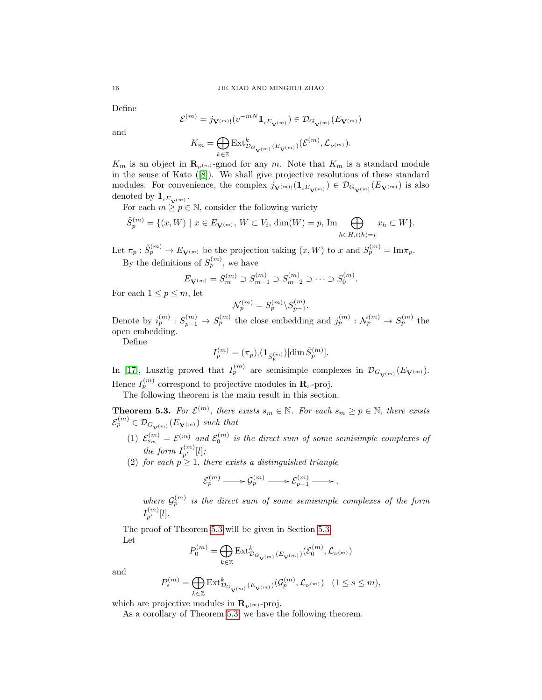Define

$$
\mathcal{E}^{(m)} = j_{\mathbf{V}^{(m)}!}(v^{-mN}\mathbf{1}_{iE_{\mathbf{V}^{(m)}}}) \in \mathcal{D}_{G_{\mathbf{V}^{(m)}}}(E_{\mathbf{V}^{(m)}})
$$

and

$$
K_m = \bigoplus_{k \in \mathbb{Z}} \operatorname{Ext}^k_{\mathcal{D}_{G_{\mathbf{V}(m)}}(E_{\mathbf{V}^{(m)}})}(\mathcal{E}^{(m)}, \mathcal{L}_{\nu^{(m)}}).
$$

 $K_m$  is an object in  $\mathbf{R}_{\nu^{(m)}}$ -gmod for any m. Note that  $K_m$  is a standard module in the sense of Kato ([\[8\]](#page-23-18)). We shall give projective resolutions of these standard modules. For convenience, the complex  $j_{\mathbf{V}^{(m)}}(1_{iE_{\mathbf{V}^{(m)}}}) \in \mathcal{D}_{G_{\mathbf{V}^{(m)}}}(E_{\mathbf{V}^{(m)}})$  is also denoted by  $\mathbf{1}_{iE_{\mathbf{V}^{(m)}}}.$ 

For each  $m \geq p \in \mathbb{N}$ , consider the following variety

$$
\tilde{S}_p^{(m)} = \{ (x, W) \mid x \in E_{\mathbf{V}^{(m)}}, W \subset V_i, \, \dim(W) = p, \, \text{Im} \bigoplus_{h \in H, t(h) = i} x_h \subset W \}.
$$

Let  $\pi_p : \tilde{S}_p^{(m)} \to E_{\mathbf{V}^{(m)}}$  be the projection taking  $(x, W)$  to x and  $S_p^{(m)} = \text{Im} \pi_p$ . By the definitions of  $S_p^{(m)}$ , we have

$$
E_{\mathbf{V}^{(m)}} = S_m^{(m)} \supset S_{m-1}^{(m)} \supset S_{m-2}^{(m)} \supset \cdots \supset S_0^{(m)}.
$$

For each  $1 \leq p \leq m$ , let

$$
\mathcal{N}_p^{(m)} = S_p^{(m)} \backslash S_{p-1}^{(m)}.
$$

Denote by  $i_p^{(m)}: S_{p-1}^{(m)} \to S_p^{(m)}$  the close embedding and  $j_p^{(m)}: \mathcal{N}_p^{(m)} \to S_p^{(m)}$  the open embedding.

Define

$$
I_p^{(m)} = (\pi_p)_! (\mathbf{1}_{\tilde{S}_p^{(m)}}) [\dim \tilde{S}_p^{(m)}].
$$

In [\[17\]](#page-23-2), Lusztig proved that  $I_p^{(m)}$  are semisimple complexes in  $\mathcal{D}_{G_{\mathbf{V}(m)}}(E_{\mathbf{V}(m)})$ . Hence  $I_p^{(m)}$  correspond to projective modules in  $\mathbf{R}_{\nu}$ -proj.

The following theorem is the main result in this section.

<span id="page-15-0"></span>**Theorem 5.3.** For  $\mathcal{E}^{(m)}$ , there exists  $s_m \in \mathbb{N}$ . For each  $s_m \geq p \in \mathbb{N}$ , there exists  $\mathcal{E}_p^{(m)} \in \mathcal{D}_{G_{\mathbf{V}^{(m)}}}(E_{\mathbf{V}^{(m)}})$  such that

- (1)  $\mathcal{E}_{s_m}^{(m)} = \mathcal{E}^{(m)}$  and  $\mathcal{E}_0^{(m)}$  is the direct sum of some semisimple complexes of the form  $I_{p'}^{(m)}[l]$ ;
- (2) for each  $p \geq 1$ , there exists a distinguished triangle

$$
\mathcal{E}_p^{(m)} \longrightarrow \mathcal{G}_p^{(m)} \longrightarrow \mathcal{E}_{p-1}^{(m)} \longrightarrow,
$$

where  $\mathcal{G}_p^{(m)}$  is the direct sum of some semisimple complexes of the form  $I_{p^\prime}^{(m)}[l].$ 

The proof of Theorem [5.3](#page-15-0) will be given in Section [5.3.](#page-16-0) Let

$$
P_0^{(m)} = \bigoplus_{k \in \mathbb{Z}} \operatorname{Ext}^k_{\mathcal{D}_{G_{\mathbf{V}^{\left( m \right)}}}\left( E_{\mathbf{V}^{\left( m \right)}} \right)}\left( \mathcal{E}_0^{(m)}, \mathcal{L}_{\nu^{(m)}} \right)
$$

and

$$
P_s^{(m)} = \bigoplus_{k \in \mathbb{Z}} \text{Ext}^k_{\mathcal{D}_{G_{\mathbf{V}(m)}}(E_{\mathbf{V}^{(m)}})}(\mathcal{G}_p^{(m)}, \mathcal{L}_{\nu^{(m)}}) \quad (1 \le s \le m),
$$

which are projective modules in  $\mathbf{R}_{\nu^{(m)}}$ -proj.

As a corollary of Theorem [5.3,](#page-15-0) we have the following theorem.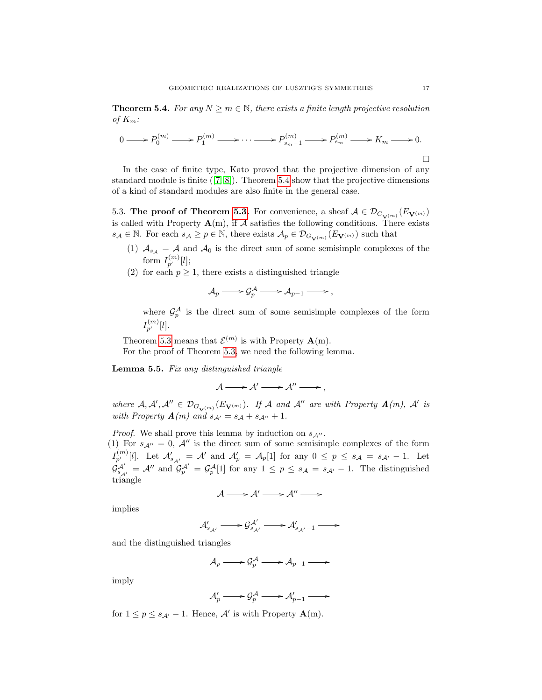<span id="page-16-1"></span>**Theorem 5.4.** For any  $N \geq m \in \mathbb{N}$ , there exists a finite length projective resolution of  $K_m$ :

$$
0 \longrightarrow P_0^{(m)} \longrightarrow P_1^{(m)} \longrightarrow \cdots \longrightarrow P_{s_m-1}^{(m)} \longrightarrow P_{s_m}^{(m)} \longrightarrow K_m \longrightarrow 0.
$$

In the case of finite type, Kato proved that the projective dimension of any standard module is finite ([\[7,](#page-23-17) [8\]](#page-23-18)). Theorem [5.4](#page-16-1) show that the projective dimensions of a kind of standard modules are also finite in the general case.

<span id="page-16-0"></span>5.3. The proof of Theorem [5.3.](#page-15-0) For convenience, a sheaf  $\mathcal{A} \in \mathcal{D}_{G_{\mathbf{V}^{(m)}}}(E_{\mathbf{V}^{(m)}})$ is called with Property  $\mathbf{A}(m)$ , if A satisfies the following conditions. There exists  $s_{\mathcal{A}} \in \mathbb{N}$ . For each  $s_{\mathcal{A}} \ge p \in \mathbb{N}$ , there exists  $\mathcal{A}_p \in \mathcal{D}_{G_{\mathbf{V}^{(m)}}}(E_{\mathbf{V}^{(m)}})$  such that

- (1)  $A_{s_A} = A$  and  $A_0$  is the direct sum of some semisimple complexes of the form  $I_{p'}^{(m)}[l];$
- (2) for each  $p \geq 1$ , there exists a distinguished triangle

$$
\mathcal{A}_p \longrightarrow \mathcal{G}_p^{\mathcal{A}} \longrightarrow \mathcal{A}_{p-1} \longrightarrow ,
$$

where  $\mathcal{G}_p^{\mathcal{A}}$  is the direct sum of some semisimple complexes of the form  $I_{p^\prime}^{(m)}[l].$ 

Theorem [5.3](#page-15-0) means that  $\mathcal{E}^{(m)}$  is with Property  $\mathbf{A}(m)$ .

For the proof of Theorem [5.3,](#page-15-0) we need the following lemma.

<span id="page-16-2"></span>Lemma 5.5. Fix any distinguished triangle

 $\mathcal{A} \longrightarrow \mathcal{A}' \longrightarrow \mathcal{A}'' \longrightarrow$ ,

where  $A, A', A'' \in \mathcal{D}_{G_{\mathbf{V}^{(m)}}}(E_{\mathbf{V}^{(m)}})$ . If A and A'' are with Property  $\mathbf{A}(m)$ , A' is with Property  $\mathbf{A}(m)$  and  $s_{\mathcal{A}'} = s_{\mathcal{A}} + s_{\mathcal{A}''} + 1$ .

*Proof.* We shall prove this lemma by induction on  $s_{\mathcal{A}''}$ . (1) For  $s_{A''}=0$ , A'' is the direct sum of some semisimple complexes of the form  $I_{p'}^{(m)}[l]$ . Let  $\mathcal{A}_{s_{\mathcal{A}'}}' = \mathcal{A}'$  and  $\mathcal{A}_{p}' = \mathcal{A}_{p}[1]$  for any  $0 \leq p \leq s_{\mathcal{A}} = s_{\mathcal{A}'} - 1$ . Let  $\mathcal{G}_{s_{\mathcal{A}'}}^{\mathcal{A}'} = \mathcal{A}''$  and  $\mathcal{G}_{p}^{\mathcal{A}'} = \mathcal{G}_{p}^{\mathcal{A}}[1]$  for any  $1 \leq p \leq s_{\mathcal{A}} = s_{\mathcal{A}'} - 1$ . The distinguished triangle

$$
\mathcal{A} \longrightarrow \mathcal{A}' \longrightarrow \mathcal{A}'' \longrightarrow
$$

implies

$$
\mathcal{A}'_{s_{\mathcal{A}'}} \longrightarrow \mathcal{G}^{\mathcal{A}'}_{s_{\mathcal{A}'}} \longrightarrow \mathcal{A}'_{s_{\mathcal{A}'}-1} \longrightarrow
$$

and the distinguished triangles

$$
\mathcal{A}_p \longrightarrow \mathcal{G}_p^{\mathcal{A}} \longrightarrow \mathcal{A}_{p-1} \longrightarrow
$$

imply

$$
\mathcal{A}'_p \longrightarrow \mathcal{G}_p^{\mathcal{A}} \longrightarrow \mathcal{A}'_{p-1} \longrightarrow
$$

for  $1 \le p \le s_{\mathcal{A}'} - 1$ . Hence,  $\mathcal{A}'$  is with Property  $\mathbf{A}(m)$ .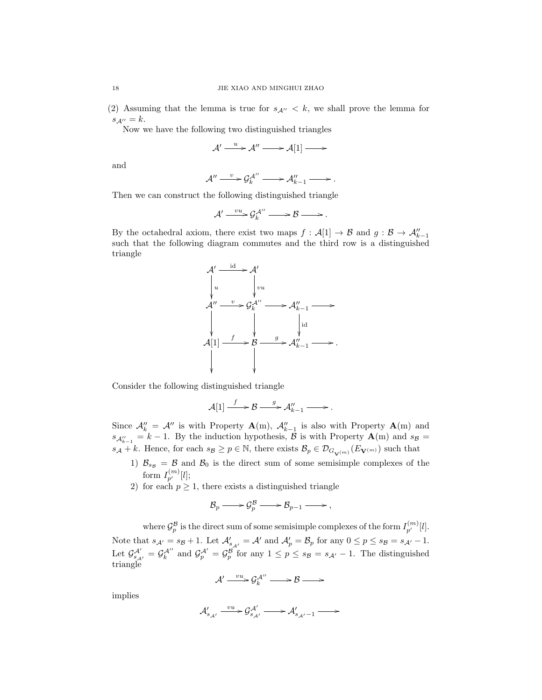(2) Assuming that the lemma is true for  $s_{A''} < k$ , we shall prove the lemma for  $s_{\mathcal{A}^{\prime\prime}}=k.$ 

Now we have the following two distinguished triangles

$$
\mathcal{A}' \xrightarrow{u} \mathcal{A}'' \longrightarrow \mathcal{A}[1] \longrightarrow
$$

and

$$
\mathcal{A}'' \xrightarrow{v} \mathcal{G}_k^{\mathcal{A}''} \longrightarrow \mathcal{A}_{k-1}'' \longrightarrow \ldots
$$

Then we can construct the following distinguished triangle

$$
\mathcal{A}' \xrightarrow{vu} \mathcal{G}'^{A''} \longrightarrow \mathcal{B} \longrightarrow.
$$

By the octahedral axiom, there exist two maps  $f : \mathcal{A}[1] \to \mathcal{B}$  and  $g : \mathcal{B} \to \mathcal{A}_{k-1}''$ such that the following diagram commutes and the third row is a distinguished triangle



Consider the following distinguished triangle

$$
\mathcal{A}[1] \xrightarrow{f} \mathcal{B} \xrightarrow{g} \mathcal{A}_{k-1}'' \longrightarrow \mathcal{A}_{k+1}''.
$$

Since  $\mathcal{A}_{k}'' = \mathcal{A}''$  is with Property  $\mathbf{A}(m)$ ,  $\mathcal{A}_{k-1}''$  is also with Property  $\mathbf{A}(m)$  and  $s_{\mathcal{A}_{k-1}''}=k-1$ . By the induction hypothesis,  $\mathcal{B}$  is with Property  $\mathbf{A}(m)$  and  $s_{\mathcal{B}}=$  $s_A + k$ . Hence, for each  $s_B \ge p \in \mathbb{N}$ , there exists  $\mathcal{B}_p \in \mathcal{D}_{G_{\mathbf{V}(m)}}(E_{\mathbf{V}(m)})$  such that

- 1)  $\mathcal{B}_{s_B} = \mathcal{B}$  and  $\mathcal{B}_0$  is the direct sum of some semisimple complexes of the form  $I_{p'}^{(m)}[l];$
- 2) for each  $p \geq 1$ , there exists a distinguished triangle

$$
\mathcal{B}_p \longrightarrow \mathcal{G}_p^{\mathcal{B}} \longrightarrow \mathcal{B}_{p-1} \longrightarrow ,
$$

where  $\mathcal{G}_{p}^{\mathcal{B}}$  is the direct sum of some semisimple complexes of the form  $I_{p'}^{(m)}[l]$ . Note that  $s_{\mathcal{A}'} = s_{\mathcal{B}} + 1$ . Let  $\mathcal{A}'_{s_{\mathcal{A}'}} = \mathcal{A}'$  and  $\mathcal{A}'_p = \mathcal{B}_p$  for any  $0 \le p \le s_{\mathcal{B}} = s_{\mathcal{A}'} - 1$ . Let  $\mathcal{G}_{s_{\mathcal{A}'}}^{\mathcal{A}'} = \mathcal{G}_{k}^{\mathcal{A}'}$  and  $\mathcal{G}_{p}^{\mathcal{A}'} = \mathcal{G}_{p}^{\mathcal{B}}$  for any  $1 \leq p \leq s_{\mathcal{B}} = s_{\mathcal{A}'} - 1$ . The distinguished triangle

$$
\mathcal{A}' \xrightarrow{vu} \mathcal{G}'^{A''}_{k} \longrightarrow \mathcal{B} \longrightarrow
$$

implies

$$
{\mathcal A}_{s_{\mathcal A'}}'\xrightarrow{vu} {\mathcal G}_{s_{\mathcal A'}}^{{\mathcal A}'}\xrightarrow{\qquad} {\mathcal A}_{s_{\mathcal A'}-1}'\xrightarrow{\qquad}
$$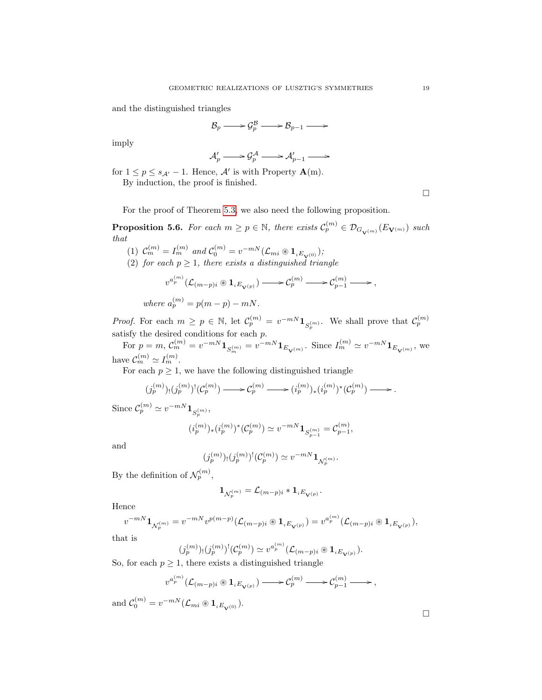and the distinguished triangles

$$
\mathcal{B}_p \longrightarrow \mathcal{G}_p^{\mathcal{B}} \longrightarrow \mathcal{B}_{p-1} \longrightarrow
$$

imply

$$
\mathcal{A}'_p \longrightarrow \mathcal{G}^{\mathcal{A}}_p \longrightarrow \mathcal{A}'_{p-1} \longrightarrow
$$

for  $1 \le p \le s_{\mathcal{A}'} - 1$ . Hence,  $\mathcal{A}'$  is with Property  $\mathbf{A}(m)$ . By induction, the proof is finished.

 $\Box$ 

For the proof of Theorem [5.3,](#page-15-0) we also need the following proposition.

<span id="page-18-0"></span>**Proposition 5.6.** For each  $m \ge p \in \mathbb{N}$ , there exists  $\mathcal{C}_p^{(m)} \in \mathcal{D}_{G_{\mathbf{V}(m)}}(E_{\mathbf{V}(m)})$  such that

(1) 
$$
\mathcal{C}_m^{(m)} = I_m^{(m)}
$$
 and  $\mathcal{C}_0^{(m)} = v^{-m} (\mathcal{L}_{mi} \otimes \mathbf{1}_{i E_{\mathbf{V}^{(0)}}});$   
(2) for each  $p \ge 1$ , there exists a distinguished triangle

$$
\label{eq:2.1} \begin{split} v^{a_p^{(m)}}(\mathcal{L}_{(m-p)i}\circledast\mathbf{1}_{^iE_{\mathbf{V}^{(p)}}})\longrightarrow \mathcal{C}_p^{(m)}\longrightarrow \mathcal{C}_{p-1}^{(m)}\longrightarrow\,,\\ \text{where }a_p^{(m)}=p(m-p)-mN\,. \end{split}
$$

*Proof.* For each  $m \ge p \in \mathbb{N}$ , let  $\mathcal{C}_p^{(m)} = v^{-m} \mathbf{1}_{S_p^{(m)}}$ . We shall prove that  $\mathcal{C}_p^{(m)}$ satisfy the desired conditions for each p.

For  $p = m$ ,  $C_m^{(m)} = v^{-mN} 1_{S_m^{(m)}} = v^{-mN} 1_{E_{\mathbf{V}^{(m)}}}$ . Since  $I_m^{(m)} \simeq v^{-mN} 1_{E_{\mathbf{V}^{(m)}}}$ , we have  $\mathcal{C}_m^{(m)} \simeq I_m^{(m)}$ .

For each  $p \geq 1$ , we have the following distinguished triangle

$$
(j_p^{(m)})_!(j_p^{(m)})^!(\mathcal{C}_p^{(m)}) \longrightarrow \mathcal{C}_p^{(m)} \longrightarrow (i_p^{(m)})_* (i_p^{(m)})^*(\mathcal{C}_p^{(m)}) \longrightarrow.
$$

Since  $\mathcal{C}_p^{(m)} \simeq v^{-mN} \mathbf{1}_{S_p^{(m)}},$ 

$$
(i_p^{(m)})_*(i_p^{(m)})^*(\mathcal{C}_p^{(m)}) \simeq v^{-mN} \mathbf{1}_{S_{p-1}^{(m)}} = \mathcal{C}_{p-1}^{(m)},
$$

and

$$
(j_p^{(m)})_!(j_p^{(m)})^!(\mathcal{C}_p^{(m)}) \simeq v^{-mN} \mathbf{1}_{\mathcal{N}_p^{(m)}}.
$$

By the definition of  $\mathcal{N}_p^{(m)}$ ,

$$
\mathbf{1}_{\mathcal{N}_p^{(m)}}=\mathcal{L}_{(m-p)i}*\mathbf{1}_{\iota E_{\mathbf{V}(p)}}.
$$

Hence

$$
v^{-mN} {\bf 1}_{\mathcal{N}_p^{(m)}} = v^{-mN} v^{p(m-p)} (\mathcal{L}_{(m-p)i} \circledast {\bf 1}_{iE_{\mathbf{V}^{(p)}}}) = v^{a_p^{(m)}} (\mathcal{L}_{(m-p)i} \circledast {\bf 1}_{iE_{\mathbf{V}^{(p)}}}),
$$

that is

$$
(j_p^{(m)})_!(j_p^{(m)})^!(\mathcal{C}_p^{(m)}) \simeq v^{a_p^{(m)}}(\mathcal{L}_{(m-p)i} \otimes \mathbf{1}_{iE_{\mathbf{V}(p)}}).
$$

So, for each  $p \geq 1$ , there exists a distinguished triangle

$$
v^{a_p^{(m)}}(\mathcal L_{(m-p)i} \circledast 1_{\iota E_{\mathbf{V}^{(p)}}}) \longrightarrow \mathcal C_p^{(m)} \longrightarrow \mathcal C_{p-1}^{(m)} \longrightarrow,
$$

and  $C_0^{(m)} = v^{-mN} (\mathcal{L}_{mi} \circledast \mathbf{1}_{iE_{\mathbf{V}^{(0)}}}).$ 

 $\Box$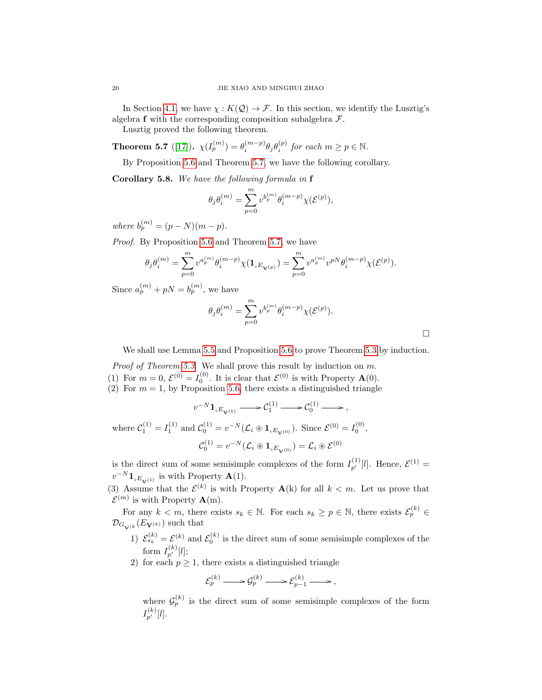In Section [4.1,](#page-9-1) we have  $\chi: K(\mathcal{Q}) \to \mathcal{F}$ . In this section, we identify the Lusztig's algebra  $f$  with the corresponding composition subalgebra  $\mathcal{F}$ .

Lusztig proved the following theorem.

<span id="page-19-0"></span>**Theorem 5.7** ([\[17\]](#page-23-2)).  $\chi(I_p^{(m)}) = \theta_i^{(m-p)} \theta_j \theta_i^{(p)}$  for each  $m \ge p \in \mathbb{N}$ .

By Proposition [5.6](#page-18-0) and Theorem [5.7,](#page-19-0) we have the following corollary.

<span id="page-19-1"></span>Corollary 5.8. We have the following formula in f

$$
\theta_j \theta_i^{(m)} = \sum_{p=0}^m v^{b_p^{(m)}} \theta_i^{(m-p)} \chi(\mathcal{E}^{(p)}),
$$

where  $b_p^{(m)} = (p - N)(m - p)$ .

Proof. By Proposition [5.6](#page-18-0) and Theorem [5.7,](#page-19-0) we have

$$
\theta_j\theta_i^{(m)}=\sum_{p=0}^m v^{a_p^{(m)}}\theta_i^{(m-p)}\chi(\mathbf{1}_{iE_{\mathbf{V}^{(p)}}})=\sum_{p=0}^m v^{a_p^{(m)}}v^{pN}\theta_i^{(m-p)}\chi(\mathcal{E}^{(p)}).
$$

Since  $a_p^{(m)} + pN = b_p^{(m)}$ , we have

$$
\theta_j\theta_i^{(m)}=\sum_{p=0}^m v^{b_p^{(m)}}\theta_i^{(m-p)}\chi(\mathcal E^{(p)}).
$$

 $\Box$ 

We shall use Lemma [5.5](#page-16-2) and Proposition [5.6](#page-18-0) to prove Theorem [5.3](#page-15-0) by induction.

Proof of Theorem [5.3.](#page-15-0) We shall prove this result by induction on m. (1) For  $m = 0$ ,  $\mathcal{E}^{(0)} = I_0^{(0)}$ . It is clear that  $\mathcal{E}^{(0)}$  is with Property  $\mathbf{A}(0)$ . (2) For  $m = 1$ , by Proposition [5.6,](#page-18-0) there exists a distinguished triangle

$$
v^{-N} \mathbf{1}_{iE_{\mathbf{V}^{(1)}}} \longrightarrow \mathcal{C}_1^{(1)} \longrightarrow \mathcal{C}_0^{(1)} \longrightarrow ,
$$
  
where 
$$
\mathcal{C}_1^{(1)} = I_1^{(1)}
$$
 and 
$$
\mathcal{C}_0^{(1)} = v^{-N} (\mathcal{L}_i \circledast \mathbf{1}_{iE_{\mathbf{V}^{(0)}}}).
$$
 Since 
$$
\mathcal{E}_0^{(0)} = I_0^{(0)},
$$

$$
\mathcal{C}_0^{(1)} = v^{-N} (\mathcal{L}_i \circledast \mathbf{1}_{iE_{\mathbf{V}^{(0)}}}) = \mathcal{L}_i \circledast \mathcal{E}_0^{(0)}
$$

is the direct sum of some semisimple complexes of the form  $I_{p'}^{(1)}[l]$ . Hence,  $\mathcal{E}^{(1)}$  =  $v^{-N} \mathbf{1}_{i E_{\mathbf{V}^{(1)}}}$  is with Property  $\mathbf{A}(1)$ .

(3) Assume that the  $\mathcal{E}^{(k)}$  is with Property  $\mathbf{A}(k)$  for all  $k < m$ . Let us prove that  $\mathcal{E}^{(m)}$  is with Property  $\mathbf{A}(m)$ .

For any  $k < m$ , there exists  $s_k \in \mathbb{N}$ . For each  $s_k \geq p \in \mathbb{N}$ , there exists  $\mathcal{E}_p^{(k)} \in$  $\mathcal{D}_{G_{\mathbf{V}^{(k)}}}(E_{\mathbf{V}^{(k)}})$  such that

- 1)  $\mathcal{E}_{s_k}^{(k)} = \mathcal{E}^{(k)}$  and  $\mathcal{E}_0^{(k)}$  is the direct sum of some semisimple complexes of the form  $I_{p'}^{(k)}[l];$
- 2) for each  $p \geq 1$ , there exists a distinguished triangle

$$
\mathcal{E}_p^{(k)} \longrightarrow \mathcal{G}_p^{(k)} \longrightarrow \mathcal{E}_{p-1}^{(k)} \longrightarrow,
$$

where  $\mathcal{G}_p^{(k)}$  is the direct sum of some semisimple complexes of the form  $I_{p^\prime}^{(k)}[l].$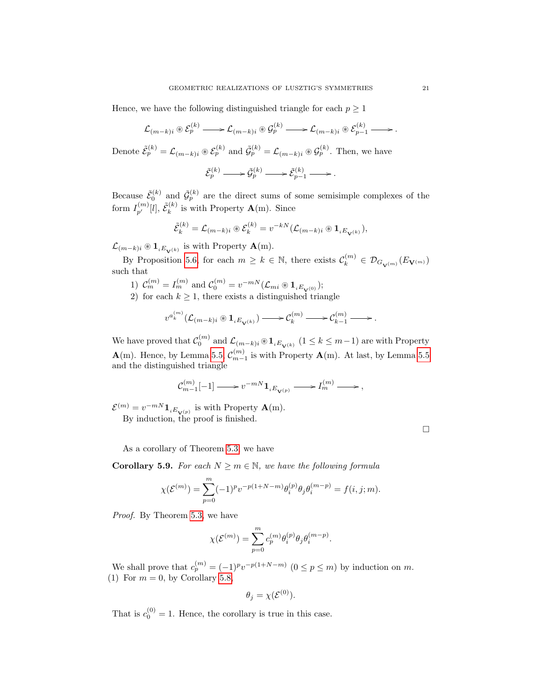Hence, we have the following distinguished triangle for each  $p \geq 1$ 

$$
\mathcal{L}_{(m-k)i} \otimes \mathcal{E}_p^{(k)} \longrightarrow \mathcal{L}_{(m-k)i} \otimes \mathcal{G}_p^{(k)} \longrightarrow \mathcal{L}_{(m-k)i} \otimes \mathcal{E}_{p-1}^{(k)} \longrightarrow.
$$

Denote  $\tilde{\mathcal{E}}_p^{(k)} = \mathcal{L}_{(m-k)i} \otimes \mathcal{E}_p^{(k)}$  and  $\tilde{\mathcal{G}}_p^{(k)} = \mathcal{L}_{(m-k)i} \otimes \mathcal{G}_p^{(k)}$ . Then, we have

$$
\tilde{\mathcal{E}}_p^{(k)} \longrightarrow \tilde{\mathcal{G}}_p^{(k)} \longrightarrow \tilde{\mathcal{E}}_{p-1}^{(k)} \longrightarrow.
$$

Because  $\tilde{\mathcal{E}}_0^{(k)}$  and  $\tilde{\mathcal{G}}_p^{(k)}$  are the direct sums of some semisimple complexes of the form  $I_{p'}^{(m)}[l], \, \tilde{\mathcal{E}}_{k}^{(k)}$  $\mathbf{k}^{(k)}$  is with Property  $\mathbf{A}(\mathbf{m})$ . Since

$$
\tilde{\mathcal{E}}_k^{(k)} = \mathcal{L}_{(m-k)i} \circledast \mathcal{E}_k^{(k)} = v^{-kN} (\mathcal{L}_{(m-k)i} \circledast \mathbf{1}_{iE_{\mathbf{V}^{(k)}}}),
$$

 $\mathcal{L}_{(m-k)i} \otimes \mathbf{1}_{iE_{\mathbf{V}^{(k)}}}$  is with Property  $\mathbf{A}(\mathbf{m})$ .

By Proposition [5.6,](#page-18-0) for each  $m \geq k \in \mathbb{N}$ , there exists  $\mathcal{C}_k^{(m)} \in \mathcal{D}_{G_{\mathbf{V}^{(m)}}}(E_{\mathbf{V}^{(m)}})$ such that

- 1)  $C_m^{(m)} = I_m^{(m)}$  and  $C_0^{(m)} = v^{-mN} (\mathcal{L}_{mi} \otimes \mathbf{1}_{i E_{\mathbf{V}^{(0)}}});$
- 2) for each  $k \geq 1$ , there exists a distinguished triangle

$$
v^{a_k^{(m)}}(\mathcal L_{(m-k)i}\circledast\mathbf{1}_{\iota E_{\mathbf{V}^{(k)}}})\longrightarrow \mathcal C_k^{(m)} \longrightarrow \mathcal C_{k-1}^{(m)} \longrightarrow.
$$

We have proved that  $\mathcal{C}_0^{(m)}$  and  $\mathcal{L}_{(m-k)i} \otimes \mathbf{1}_{iE_{\mathbf{V}^{(k)}}}$   $(1 \leq k \leq m-1)$  are with Property  $\mathbf{A}(m)$ . Hence, by Lemma [5.5,](#page-16-2)  $\mathcal{C}_{m-1}^{(m)}$  is with Property  $\mathbf{A}(m)$ . At last, by Lemma [5.5](#page-16-2) and the distinguished triangle

$$
\mathcal{C}_{m-1}^{(m)}[-1] \mathop{\longrightarrow} v^{-mN}\mathbf{1}_{\iota E_{\mathbf{V}^{(p)}}} \mathop{\longrightarrow} I_m^{(m)} \mathop{\longrightarrow} ,
$$

 $\mathcal{E}^{(m)} = v^{-mN} \mathbf{1}_{i E_{\mathbf{V}^{(p)}}}$  is with Property  $\mathbf{A}(\mathbf{m})$ . By induction, the proof is finished.

 $\Box$ 

As a corollary of Theorem [5.3,](#page-15-0) we have

<span id="page-20-0"></span>**Corollary 5.9.** For each  $N \ge m \in \mathbb{N}$ , we have the following formula

$$
\chi(\mathcal{E}^{(m)}) = \sum_{p=0}^{m} (-1)^p v^{-p(1+N-m)} \theta_i^{(p)} \theta_j \theta_i^{(m-p)} = f(i, j; m).
$$

Proof. By Theorem [5.3,](#page-15-0) we have

$$
\chi(\mathcal{E}^{(m)})=\sum_{p=0}^m c_p^{(m)}\theta_i^{(p)}\theta_j\theta_i^{(m-p)}.
$$

We shall prove that  $c_p^{(m)} = (-1)^p v^{-p(1+N-m)}$   $(0 \le p \le m)$  by induction on m. (1) For  $m = 0$ , by Corollary [5.8,](#page-19-1)

$$
\theta_j = \chi(\mathcal{E}^{(0)}).
$$

That is  $c_0^{(0)} = 1$ . Hence, the corollary is true in this case.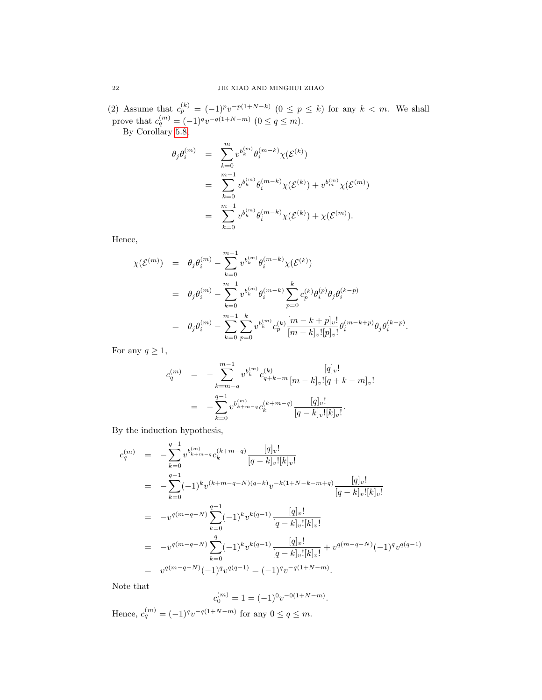(2) Assume that  $c_p^{(k)} = (-1)^p v^{-p(1+N-k)}$   $(0 \le p \le k)$  for any  $k < m$ . We shall prove that  $c_q^{(m)} = (-1)^q v^{-q(1+N-m)}$   $(0 \le q \le m)$ .

By Corollary [5.8,](#page-19-1)

$$
\theta_j \theta_i^{(m)} = \sum_{k=0}^m v^{b_k^{(m)}} \theta_i^{(m-k)} \chi(\mathcal{E}^{(k)})
$$
  
= 
$$
\sum_{k=0}^{m-1} v^{b_k^{(m)}} \theta_i^{(m-k)} \chi(\mathcal{E}^{(k)}) + v^{b_m^{(m)}} \chi(\mathcal{E}^{(m)})
$$
  
= 
$$
\sum_{k=0}^{m-1} v^{b_k^{(m)}} \theta_i^{(m-k)} \chi(\mathcal{E}^{(k)}) + \chi(\mathcal{E}^{(m)}).
$$

Hence,

$$
\begin{array}{lcl} \chi(\mathcal{E}^{(m)}) & = & \theta_j\theta_i^{(m)} - \sum_{k=0}^{m-1}v^{b_k^{(m)}}\theta_i^{(m-k)}\chi(\mathcal{E}^{(k)}) \\ \\ & = & \theta_j\theta_i^{(m)} - \sum_{k=0}^{m-1}v^{b_k^{(m)}}\theta_i^{(m-k)}\sum_{p=0}^{k}c_p^{(k)}\theta_i^{(p)}\theta_j\theta_i^{(k-p)} \\ \\ & = & \theta_j\theta_i^{(m)} - \sum_{k=0}^{m-1}\sum_{p=0}^{k}v^{b_k^{(m)}}c_p^{(k)}\frac{[m-k+p]_v!}{[m-k]_v! [p]_v!}\theta_i^{(m-k+p)}\theta_j\theta_i^{(k-p)}. \end{array}
$$

For any  $q \geq 1$ ,

$$
c_q^{(m)} = -\sum_{k=m-q}^{m-1} v^{b_k^{(m)}} c_{q+k-m}^{(k)} \frac{[q]_v!}{[m-k]_v! [q+k-m]_v!}
$$
  

$$
= -\sum_{k=0}^{q-1} v^{b_{k+m-q}^{(m)}} c_k^{(k+m-q)} \frac{[q]_v!}{[q-k]_v! [k]_v!}.
$$

By the induction hypothesis,

$$
c_q^{(m)} = -\sum_{k=0}^{q-1} v^{b_{k+m-q}^{(m)}} c_k^{(k+m-q)} \frac{[q]_v!}{[q-k]_v![k]_v!}
$$
  
\n
$$
= -\sum_{k=0}^{q-1} (-1)^k v^{(k+m-q-N)(q-k)} v^{-k(1+N-k-m+q)} \frac{[q]_v!}{[q-k]_v![k]_v!}
$$
  
\n
$$
= -v^{q(m-q-N)} \sum_{k=0}^{q-1} (-1)^k v^{k(q-1)} \frac{[q]_v!}{[q-k]_v![k]_v!}
$$
  
\n
$$
= -v^{q(m-q-N)} \sum_{k=0}^{q} (-1)^k v^{k(q-1)} \frac{[q]_v!}{[q-k]_v![k]_v!} + v^{q(m-q-N)} (-1)^q v^{q(q-1)}
$$
  
\n
$$
= v^{q(m-q-N)} (-1)^q v^{q(q-1)} = (-1)^q v^{-q(1+N-m)}.
$$

Note that

$$
c_0^{(m)} = 1 = (-1)^0 v^{-0(1+N-m)}.
$$

Hence,  $c_q^{(m)} = (-1)^q v^{-q(1+N-m)}$  for any  $0 \le q \le m$ .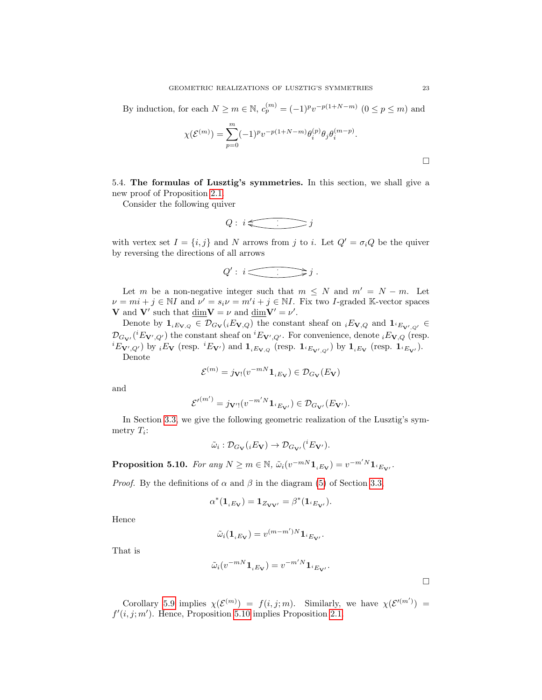By induction, for each  $N \ge m \in \mathbb{N}$ ,  $c_p^{(m)} = (-1)^p v^{-p(1+N-m)}$   $(0 \le p \le m)$  and

$$
\chi(\mathcal{E}^{(m)}) = \sum_{p=0}^{m} (-1)^p v^{-p(1+N-m)} \theta_i^{(p)} \theta_j \theta_i^{(m-p)}.
$$

<span id="page-22-0"></span>5.4. The formulas of Lusztig's symmetries. In this section, we shall give a new proof of Proposition [2.1.](#page-4-4)

Consider the following quiver

$$
Q: i \in \overbrace{\phantom{a}} j
$$

with vertex set  $I = \{i, j\}$  and N arrows from j to i. Let  $Q' = \sigma_i Q$  be the quiver by reversing the directions of all arrows

$$
Q':\, i \overbrace{\qquad \qquad } f \, .
$$

Let m be a non-negative integer such that  $m \leq N$  and  $m' = N - m$ . Let  $\nu = mi + j \in \mathbb{N}I$  and  $\nu' = s_i \nu = m'i + j \in \mathbb{N}I$ . Fix two *I*-graded K-vector spaces **V** and **V'** such that  $\dim V = \nu$  and  $\dim V' = \nu'$ .

Denote by  $\mathbf{1}_{i}E_{\mathbf{V},Q} \in \mathcal{D}_{G_{\mathbf{V}}}(iE_{\mathbf{V},Q})$  the constant sheaf on  $iE_{\mathbf{V},Q}$  and  $\mathbf{1}_{i}E_{\mathbf{V}',Q'} \in$  $\mathcal{D}_{G_{\mathbf{V'}}}(iE_{\mathbf{V'},Q'})$  the constant sheaf on  ${}^{i}E_{\mathbf{V'},Q'}$ . For convenience, denote  ${}_{i}E_{\mathbf{V},Q}$  (resp.  ${}^{i}E_{\mathbf{V}',Q'}$  by  ${}_{i}E_{\mathbf{V}}$  (resp.  ${}^{i}E_{\mathbf{V}'}$ ) and  $\mathbf{1}_{i}E_{\mathbf{V},Q}$  (resp.  $\mathbf{1}_{i}E_{\mathbf{V}',Q'}$ ) by  $\mathbf{1}_{i}E_{\mathbf{V}}$  (resp.  $\mathbf{1}_{i}E_{\mathbf{V}'}$ ). Denote

$$
\mathcal{E}^{(m)} = j_{\mathbf{V}!}(v^{-mN} \mathbf{1}_{iE_{\mathbf{V}}}) \in \mathcal{D}_{G_{\mathbf{V}}}(E_{\mathbf{V}})
$$

and

$$
\mathcal{E'}^{(m')} = j_{\mathbf{V'}!}(v^{-m'N} \mathbf{1}_{i_{\mathbf{E_{\mathbf{V'}}}}}) \in \mathcal{D}_{G_{\mathbf{V'}}}(E_{\mathbf{V'}}).
$$

In Section [3.3,](#page-7-0) we give the following geometric realization of the Lusztig's symmetry  $T_i$ :

$$
\tilde{\omega}_i : \mathcal{D}_{G_{\mathbf{V}}}(iE_{\mathbf{V}}) \to \mathcal{D}_{G_{\mathbf{V}'}}({}^iE_{\mathbf{V}'}).
$$

<span id="page-22-1"></span>**Proposition 5.10.** For any  $N \ge m \in \mathbb{N}$ ,  $\tilde{\omega}_i(v^{-mN}1_{iE_V}) = v^{-m'N}1_{iE_V}$ .

*Proof.* By the definitions of  $\alpha$  and  $\beta$  in the diagram [\(5\)](#page-7-2) of Section [3.3,](#page-7-0)

$$
\alpha^*({\bf 1}_{iE_{\bf V}})={\bf 1}_{Z_{{\bf V}{\bf V}'}}=\beta^*({\bf 1}_{^iE_{{\bf V}'}}).
$$

Hence

$$
\tilde{\omega}_i(\mathbf{1}_{iE_V}) = v^{(m-m')N} \mathbf{1}_{iE_{V'}}.
$$

That is

$$
\tilde{\omega}_i(v^{-mN}\mathbf{1}_{iE_V}) = v^{-m'N}\mathbf{1}_{iE_{V'}}.
$$

Corollary [5.9](#page-20-0) implies  $\chi(\mathcal{E}^{(m)}) = f(i,j;m)$ . Similarly, we have  $\chi(\mathcal{E}^{(m')}) =$  $f'(i, j; m')$ . Hence, Proposition [5.10](#page-22-1) implies Proposition [2.1.](#page-4-4)

 $\Box$